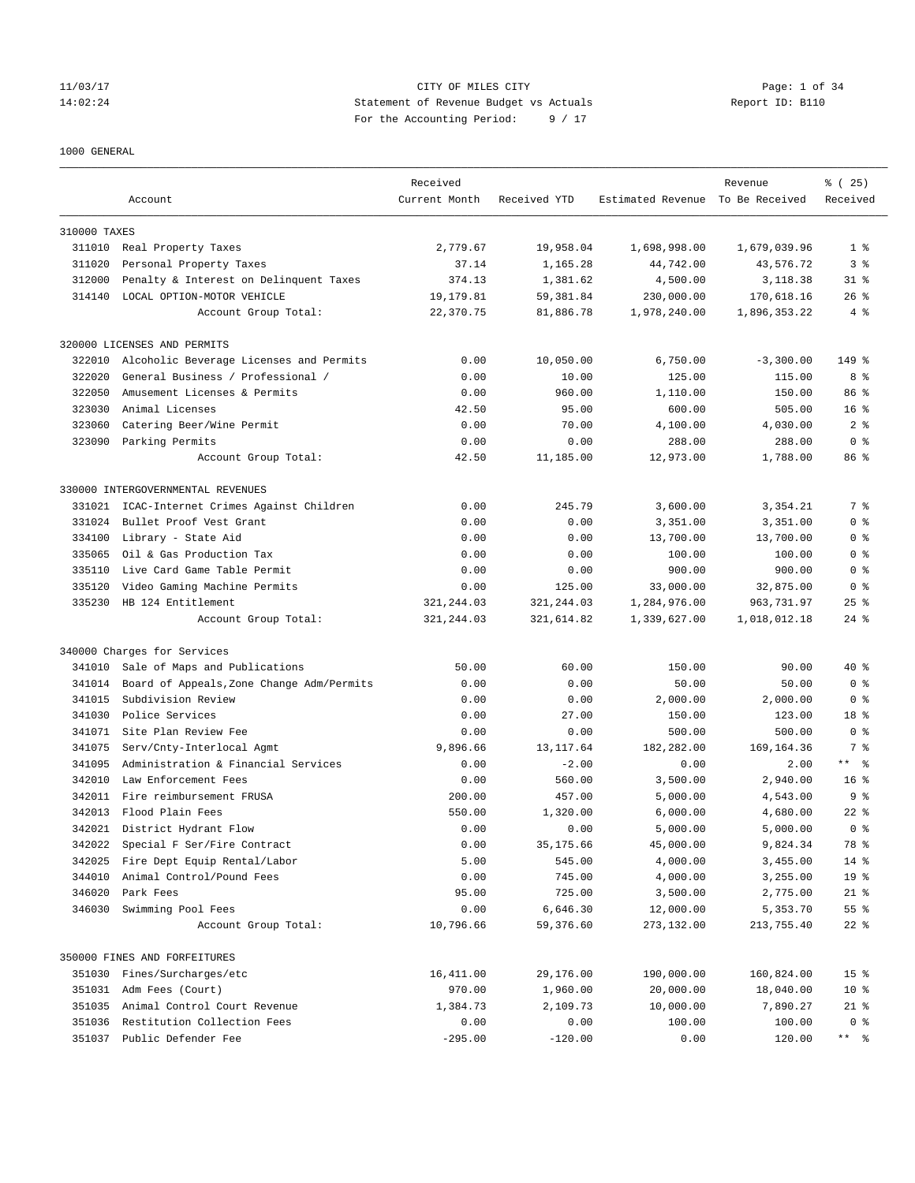## 11/03/17 CITY OF MILES CITY Page: 1 of 34 14:02:24 Statement of Revenue Budget vs Actuals Report ID: B110 For the Accounting Period: 9 / 17

#### 1000 GENERAL

|              |                                           | Received      |              |                                  | Revenue      | % (25)             |
|--------------|-------------------------------------------|---------------|--------------|----------------------------------|--------------|--------------------|
|              | Account                                   | Current Month | Received YTD | Estimated Revenue To Be Received |              | Received           |
| 310000 TAXES |                                           |               |              |                                  |              |                    |
|              | 311010 Real Property Taxes                | 2,779.67      | 19,958.04    | 1,698,998.00                     | 1,679,039.96 | 1 <sup>8</sup>     |
| 311020       | Personal Property Taxes                   | 37.14         | 1,165.28     | 44,742.00                        | 43,576.72    | 3 <sup>8</sup>     |
| 312000       | Penalty & Interest on Delinquent Taxes    | 374.13        | 1,381.62     | 4,500.00                         | 3,118.38     | $31$ $%$           |
| 314140       | LOCAL OPTION-MOTOR VEHICLE                | 19,179.81     | 59,381.84    | 230,000.00                       | 170,618.16   | $26$ %             |
|              | Account Group Total:                      | 22,370.75     | 81,886.78    | 1,978,240.00                     | 1,896,353.22 | 4%                 |
|              | 320000 LICENSES AND PERMITS               |               |              |                                  |              |                    |
| 322010       | Alcoholic Beverage Licenses and Permits   | 0.00          | 10,050.00    | 6,750.00                         | $-3,300.00$  | 149 %              |
| 322020       | General Business / Professional /         | 0.00          | 10.00        | 125.00                           | 115.00       | 8 %                |
| 322050       | Amusement Licenses & Permits              | 0.00          | 960.00       | 1,110.00                         | 150.00       | 86 <sup>8</sup>    |
| 323030       | Animal Licenses                           | 42.50         | 95.00        | 600.00                           | 505.00       | 16 <sup>8</sup>    |
| 323060       | Catering Beer/Wine Permit                 | 0.00          | 70.00        | 4,100.00                         | 4,030.00     | 2 <sub>8</sub>     |
| 323090       | Parking Permits                           | 0.00          | 0.00         | 288.00                           | 288.00       | 0 <sup>8</sup>     |
|              | Account Group Total:                      | 42.50         | 11,185.00    | 12,973.00                        | 1,788.00     | 86 %               |
|              | 330000 INTERGOVERNMENTAL REVENUES         |               |              |                                  |              |                    |
| 331021       | ICAC-Internet Crimes Against Children     | 0.00          | 245.79       | 3,600.00                         | 3,354.21     | 7 %                |
| 331024       | Bullet Proof Vest Grant                   | 0.00          | 0.00         | 3,351.00                         | 3,351.00     | 0 <sup>8</sup>     |
| 334100       | Library - State Aid                       | 0.00          | 0.00         | 13,700.00                        | 13,700.00    | 0 <sup>8</sup>     |
| 335065       | Oil & Gas Production Tax                  | 0.00          | 0.00         | 100.00                           | 100.00       | 0 <sup>8</sup>     |
| 335110       | Live Card Game Table Permit               | 0.00          | 0.00         | 900.00                           | 900.00       | 0 <sup>8</sup>     |
| 335120       | Video Gaming Machine Permits              | 0.00          | 125.00       | 33,000.00                        | 32,875.00    | 0 <sup>8</sup>     |
| 335230       | HB 124 Entitlement                        | 321, 244.03   | 321, 244.03  | 1,284,976.00                     | 963,731.97   | $25$ $%$           |
|              | Account Group Total:                      | 321, 244.03   | 321,614.82   | 1,339,627.00                     | 1,018,012.18 | $24$ $\frac{6}{3}$ |
|              | 340000 Charges for Services               |               |              |                                  |              |                    |
| 341010       | Sale of Maps and Publications             | 50.00         | 60.00        | 150.00                           | 90.00        | $40*$              |
| 341014       | Board of Appeals, Zone Change Adm/Permits | 0.00          | 0.00         | 50.00                            | 50.00        | 0 <sup>8</sup>     |
| 341015       | Subdivision Review                        | 0.00          | 0.00         | 2,000.00                         | 2,000.00     | 0 <sup>8</sup>     |
| 341030       | Police Services                           | 0.00          | 27.00        | 150.00                           | 123.00       | 18 <sup>°</sup>    |
| 341071       | Site Plan Review Fee                      | 0.00          | 0.00         | 500.00                           | 500.00       | 0 <sup>8</sup>     |
| 341075       | Serv/Cnty-Interlocal Agmt                 | 9,896.66      | 13, 117.64   | 182,282.00                       | 169, 164.36  | 7 %                |
| 341095       | Administration & Financial Services       | 0.00          | $-2.00$      | 0.00                             | 2.00         | $***$ $ -$         |
| 342010       | Law Enforcement Fees                      | 0.00          | 560.00       | 3,500.00                         | 2,940.00     | 16 <sup>8</sup>    |
|              | 342011 Fire reimbursement FRUSA           | 200.00        | 457.00       | 5,000.00                         | 4,543.00     | 9 <sup>8</sup>     |
| 342013       | Flood Plain Fees                          | 550.00        | 1,320.00     | 6,000.00                         | 4,680.00     | $22$ %             |
|              | 342021 District Hydrant Flow              | 0.00          | 0.00         | 5,000.00                         | 5.000.00     | 0 <sup>8</sup>     |
| 342022       | Special F Ser/Fire Contract               | 0.00          | 35,175.66    | 45,000.00                        | 9,824.34     | 78 %               |
| 342025       | Fire Dept Equip Rental/Labor              | 5.00          | 545.00       | 4,000.00                         | 3,455.00     | 14 %               |
| 344010       | Animal Control/Pound Fees                 | 0.00          | 745.00       | 4,000.00                         | 3,255.00     | 19 <sup>°</sup>    |
| 346020       | Park Fees                                 | 95.00         | 725.00       | 3,500.00                         | 2,775.00     | $21$ %             |
| 346030       | Swimming Pool Fees                        | 0.00          | 6,646.30     | 12,000.00                        | 5,353.70     | 55 %               |
|              | Account Group Total:                      | 10,796.66     | 59,376.60    | 273,132.00                       | 213,755.40   | $22$ $%$           |
|              | 350000 FINES AND FORFEITURES              |               |              |                                  |              |                    |
| 351030       | Fines/Surcharges/etc                      | 16, 411.00    | 29,176.00    | 190,000.00                       | 160,824.00   | 15 <sup>°</sup>    |
|              | 351031 Adm Fees (Court)                   | 970.00        | 1,960.00     | 20,000.00                        | 18,040.00    | $10*$              |
| 351035       | Animal Control Court Revenue              | 1,384.73      | 2,109.73     | 10,000.00                        | 7,890.27     | $21$ %             |
| 351036       | Restitution Collection Fees               | 0.00          | 0.00         | 100.00                           | 100.00       | 0 <sup>8</sup>     |
|              | 351037 Public Defender Fee                | $-295.00$     | $-120.00$    | 0.00                             | 120.00       | ** %               |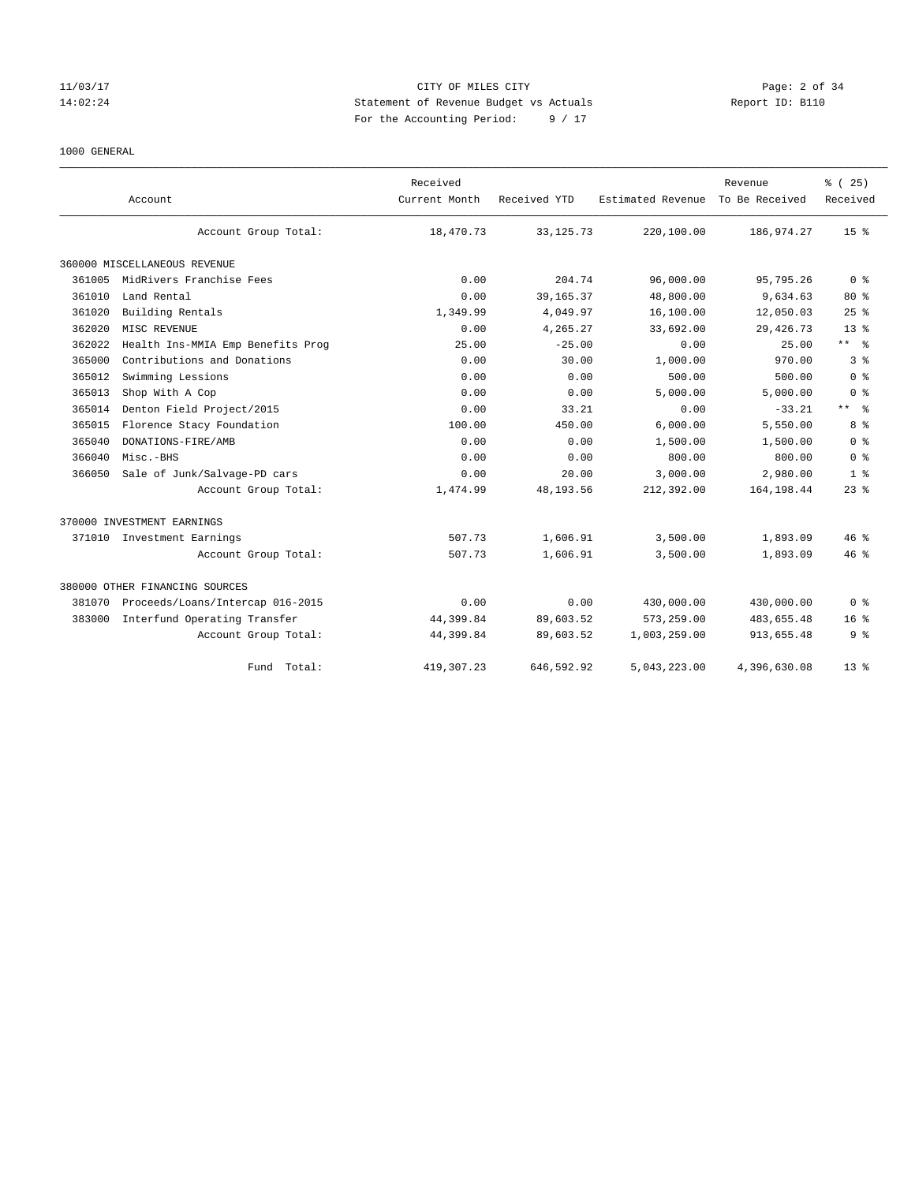## 11/03/17 CITY OF MILES CITY Page: 2 of 34 14:02:24 Statement of Revenue Budget vs Actuals Report ID: B110 For the Accounting Period: 9 / 17

## 1000 GENERAL

|        | Account                           | Received<br>Current Month | Received YTD | Estimated Revenue | Revenue<br>To Be Received | % (25)<br>Received |
|--------|-----------------------------------|---------------------------|--------------|-------------------|---------------------------|--------------------|
|        | Account Group Total:              | 18,470.73                 | 33, 125. 73  | 220,100.00        | 186,974.27                | 15 <sup>8</sup>    |
|        | 360000 MISCELLANEOUS REVENUE      |                           |              |                   |                           |                    |
| 361005 | MidRivers Franchise Fees          | 0.00                      | 204.74       | 96,000.00         | 95,795.26                 | 0 <sup>8</sup>     |
| 361010 | Land Rental                       | 0.00                      | 39, 165. 37  | 48,800.00         | 9,634.63                  | $80*$              |
| 361020 | Building Rentals                  | 1,349.99                  | 4,049.97     | 16,100.00         | 12,050.03                 | 25%                |
| 362020 | MISC REVENUE                      | 0.00                      | 4,265.27     | 33,692.00         | 29, 426.73                | 13 <sup>8</sup>    |
| 362022 | Health Ins-MMIA Emp Benefits Prog | 25.00                     | $-25.00$     | 0.00              | 25.00                     | ** %               |
| 365000 | Contributions and Donations       | 0.00                      | 30.00        | 1,000.00          | 970.00                    | 3%                 |
| 365012 | Swimming Lessions                 | 0.00                      | 0.00         | 500.00            | 500.00                    | 0 <sup>8</sup>     |
| 365013 | Shop With A Cop                   | 0.00                      | 0.00         | 5,000.00          | 5,000.00                  | 0 <sup>8</sup>     |
| 365014 | Denton Field Project/2015         | 0.00                      | 33.21        | 0.00              | $-33.21$                  | $***$ $%$          |
| 365015 | Florence Stacy Foundation         | 100.00                    | 450.00       | 6,000.00          | 5,550.00                  | 8 %                |
| 365040 | DONATIONS-FIRE/AMB                | 0.00                      | 0.00         | 1,500.00          | 1,500.00                  | 0 <sup>8</sup>     |
| 366040 | Misc.-BHS                         | 0.00                      | 0.00         | 800.00            | 800.00                    | 0 <sup>8</sup>     |
| 366050 | Sale of Junk/Salvage-PD cars      | 0.00                      | 20.00        | 3,000.00          | 2,980.00                  | 1 <sup>8</sup>     |
|        | Account Group Total:              | 1,474.99                  | 48,193.56    | 212,392.00        | 164, 198.44               | $23$ $%$           |
|        | 370000 INVESTMENT EARNINGS        |                           |              |                   |                           |                    |
|        | 371010 Investment Earnings        | 507.73                    | 1,606.91     | 3,500.00          | 1,893.09                  | $46*$              |
|        | Account Group Total:              | 507.73                    | 1,606.91     | 3,500.00          | 1,893.09                  | $46*$              |
|        | 380000 OTHER FINANCING SOURCES    |                           |              |                   |                           |                    |
| 381070 | Proceeds/Loans/Intercap 016-2015  | 0.00                      | 0.00         | 430,000.00        | 430,000.00                | 0 <sup>8</sup>     |
| 383000 | Interfund Operating Transfer      | 44,399.84                 | 89,603.52    | 573,259.00        | 483,655.48                | 16 <sup>8</sup>    |
|        | Account Group Total:              | 44,399.84                 | 89,603.52    | 1,003,259.00      | 913,655.48                | 9%                 |
|        | Fund<br>Total:                    | 419,307.23                | 646.592.92   | 5.043.223.00      | 4,396,630.08              | 13 <sup>8</sup>    |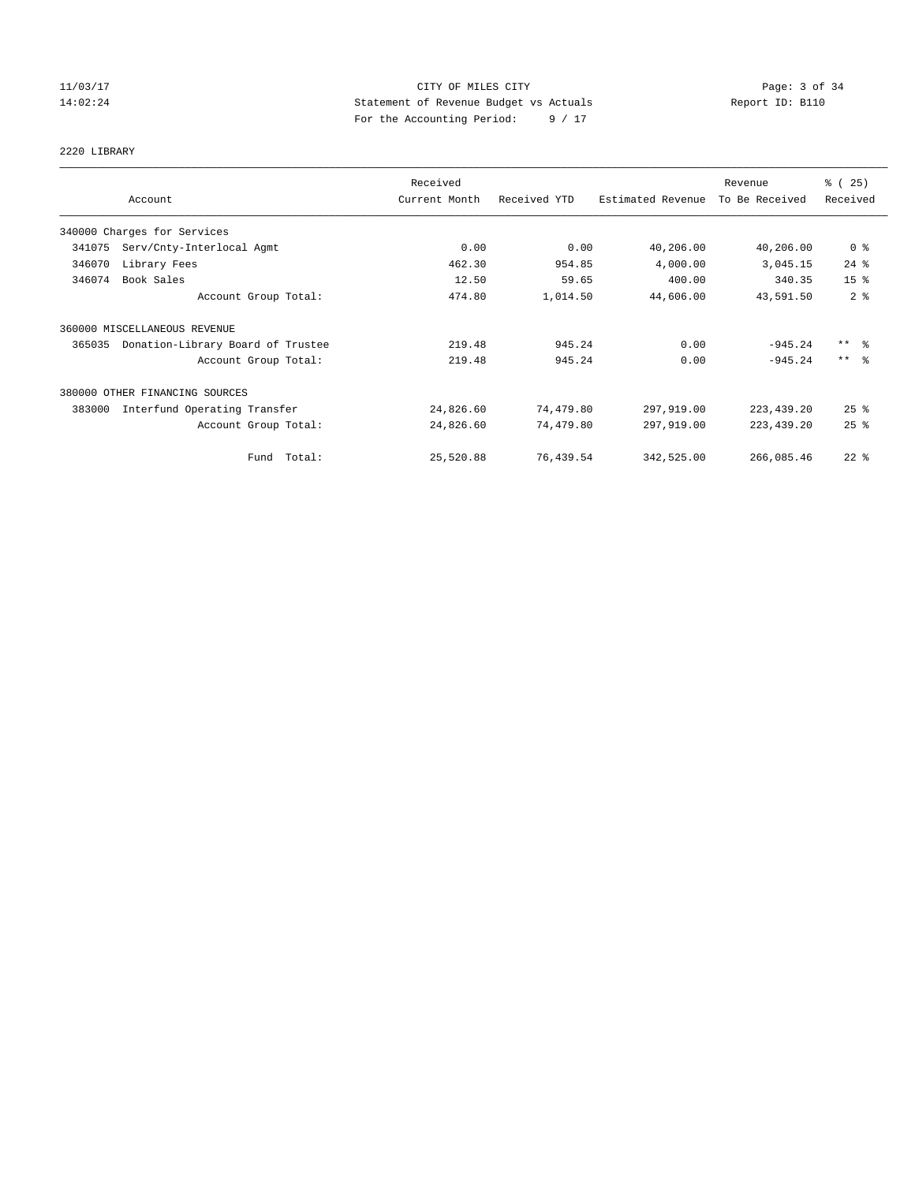## 11/03/17 CITY OF MILES CITY Page: 3 of 34 14:02:24 Statement of Revenue Budget vs Actuals Report ID: B110 For the Accounting Period: 9 / 17

# 2220 LIBRARY

| Account                                     | Received<br>Current Month | Received YTD | Estimated Revenue | Revenue<br>To Be Received | % (25)<br>Received  |
|---------------------------------------------|---------------------------|--------------|-------------------|---------------------------|---------------------|
| 340000 Charges for Services                 |                           |              |                   |                           |                     |
| 341075<br>Serv/Cnty-Interlocal Agmt         | 0.00                      | 0.00         | 40,206.00         | 40,206.00                 | 0 <sup>8</sup>      |
| 346070<br>Library Fees                      | 462.30                    | 954.85       | 4,000.00          | 3,045.15                  | $24$ %              |
| Book Sales<br>346074                        | 12.50                     | 59.65        | 400.00            | 340.35                    | 15 <sup>8</sup>     |
| Account Group Total:                        | 474.80                    | 1,014.50     | 44,606.00         | 43,591.50                 | 2 <sup>8</sup>      |
| 360000 MISCELLANEOUS REVENUE                |                           |              |                   |                           |                     |
| Donation-Library Board of Trustee<br>365035 | 219.48                    | 945.24       | 0.00              | $-945.24$                 | $***$ $\frac{6}{5}$ |
| Account Group Total:                        | 219.48                    | 945.24       | 0.00              | $-945.24$                 | $***$ $\approx$     |
| 380000 OTHER FINANCING SOURCES              |                           |              |                   |                           |                     |
| Interfund Operating Transfer<br>383000      | 24,826.60                 | 74,479.80    | 297,919.00        | 223, 439.20               | $25$ $%$            |
| Account Group Total:                        | 24,826.60                 | 74,479.80    | 297,919.00        | 223, 439.20               | 25%                 |
| Fund Total:                                 | 25,520.88                 | 76,439.54    | 342,525.00        | 266,085.46                | $22$ %              |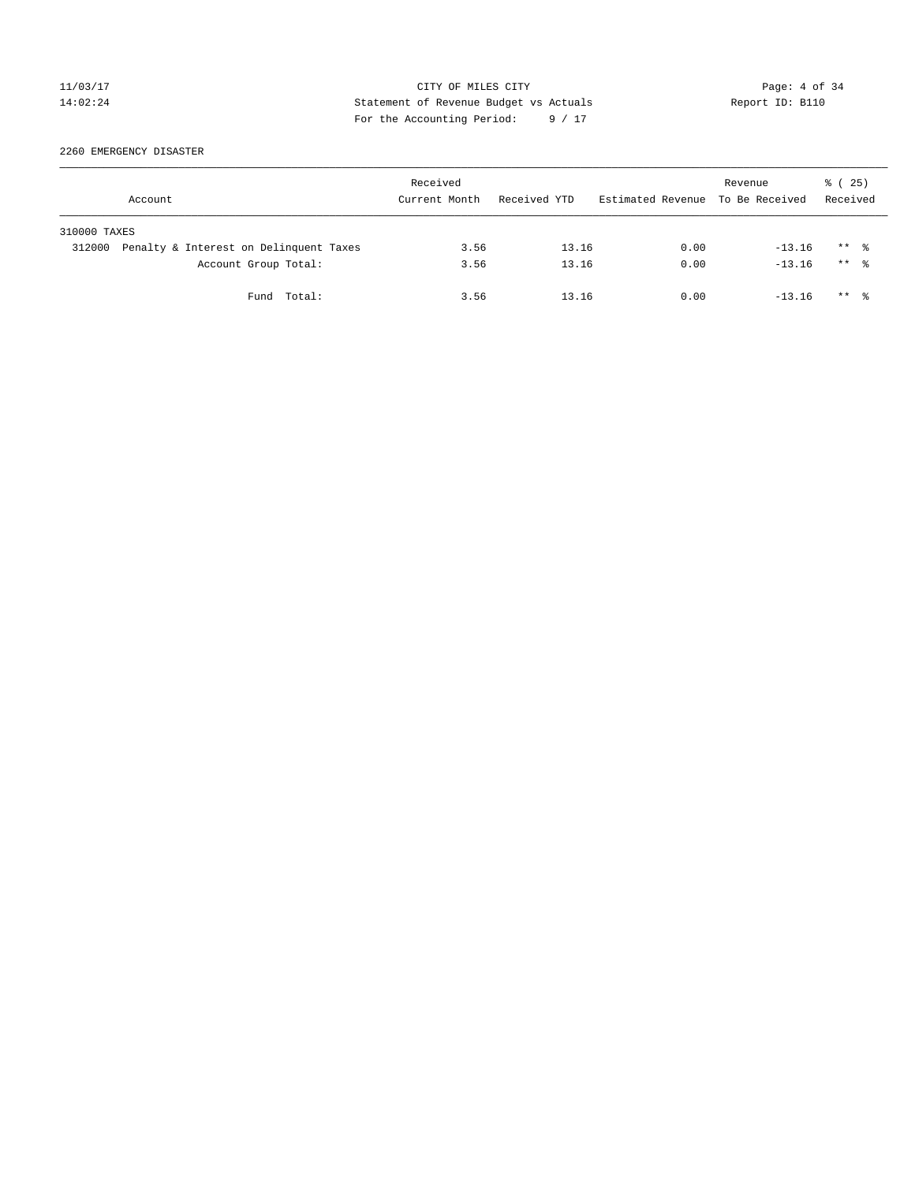## 11/03/17 CITY OF MILES CITY Page: 4 of 34 14:02:24 Statement of Revenue Budget vs Actuals Report ID: B110 For the Accounting Period: 9 / 17

2260 EMERGENCY DISASTER

|              | Account                                | Received<br>Current Month | Received YTD | Estimated Revenue To Be Received | Revenue  | 8 (25)<br>Received   |  |
|--------------|----------------------------------------|---------------------------|--------------|----------------------------------|----------|----------------------|--|
| 310000 TAXES |                                        |                           |              |                                  |          |                      |  |
| 312000       | Penalty & Interest on Delinquent Taxes | 3.56                      | 13.16        | 0.00                             | $-13.16$ | $***$ %              |  |
|              | Account Group Total:                   | 3.56                      | 13.16        | 0.00                             | $-13.16$ | $***$ $\frac{6}{10}$ |  |
|              | Fund Total:                            | 3.56                      | 13.16        | 0.00                             | $-13.16$ | $***$ $\frac{6}{10}$ |  |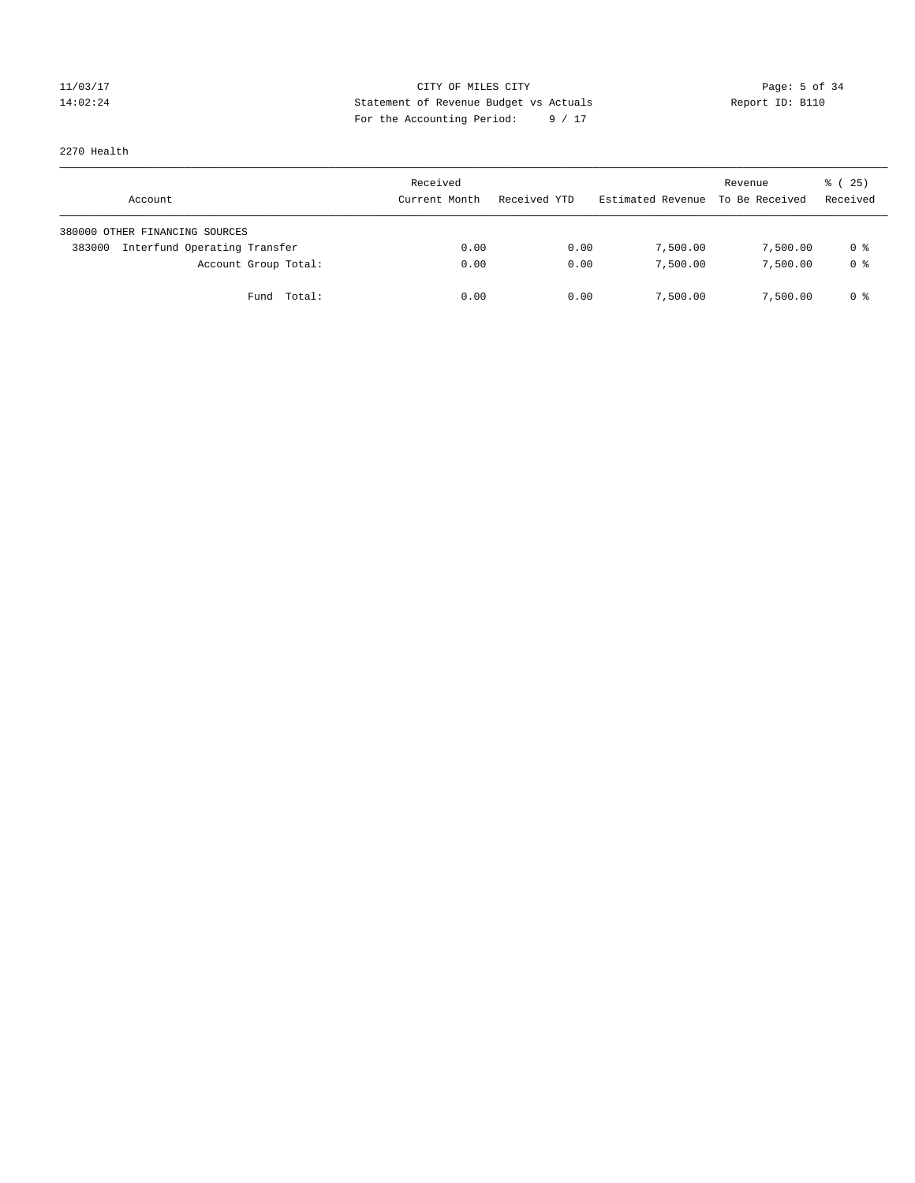## 11/03/17 CITY OF MILES CITY Page: 5 of 34 14:02:24 Statement of Revenue Budget vs Actuals Report ID: B110 For the Accounting Period: 9 / 17

2270 Health

| Account                                | Received<br>Current Month | Received YTD | Estimated Revenue | Revenue<br>To Be Received | 8 (25)<br>Received |
|----------------------------------------|---------------------------|--------------|-------------------|---------------------------|--------------------|
| 380000 OTHER FINANCING SOURCES         |                           |              |                   |                           |                    |
| Interfund Operating Transfer<br>383000 | 0.00                      | 0.00         | 7,500.00          | 7,500.00                  | 0 %                |
| Account Group Total:                   | 0.00                      | 0.00         | 7,500.00          | 7,500.00                  | 0 %                |
| Fund Total:                            | 0.00                      | 0.00         | 7,500.00          | 7,500.00                  | 0 %                |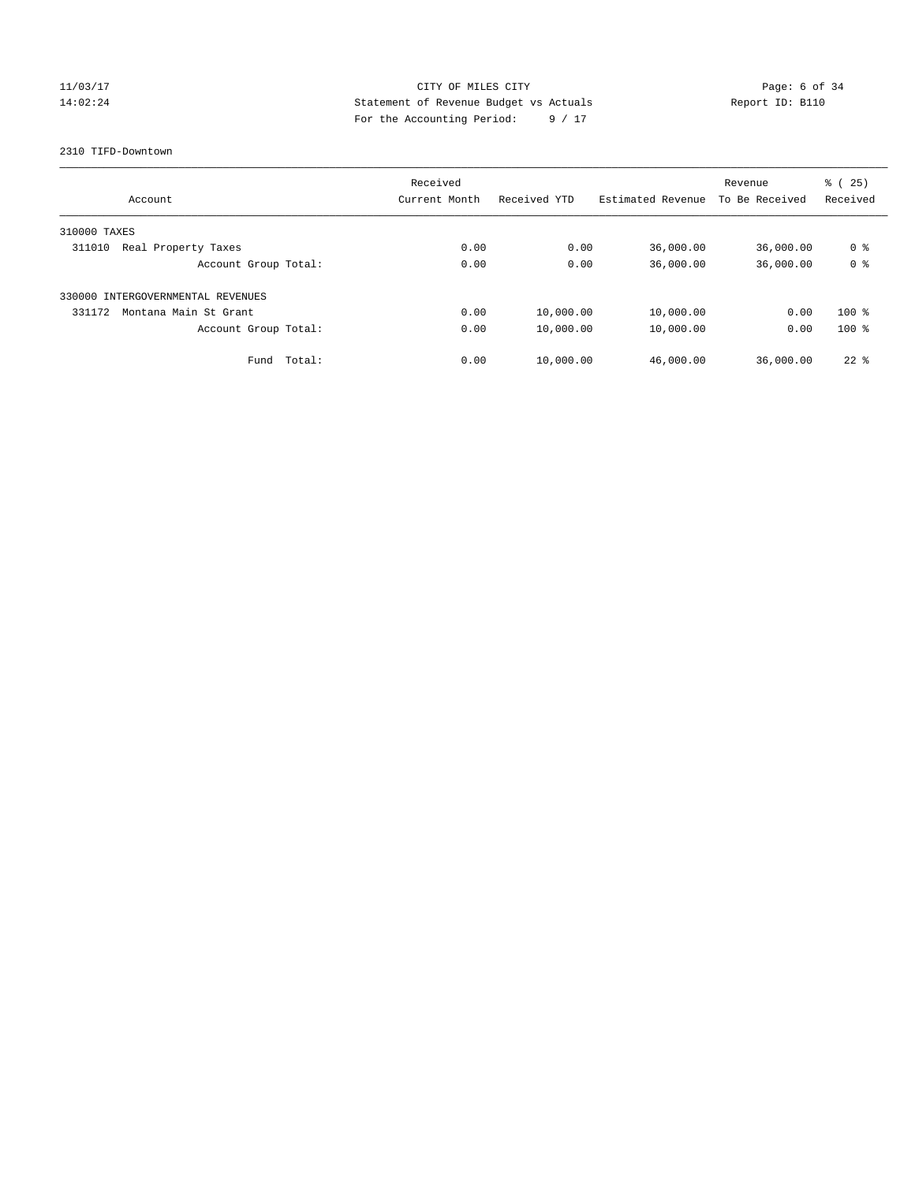## 11/03/17 CITY OF MILES CITY Page: 6 of 34 14:02:24 Statement of Revenue Budget vs Actuals Report ID: B110 For the Accounting Period: 9 / 17

#### 2310 TIFD-Downtown

|                                   |        | Received      |              |                   | Revenue        | (25)<br>ී (    |
|-----------------------------------|--------|---------------|--------------|-------------------|----------------|----------------|
| Account                           |        | Current Month | Received YTD | Estimated Revenue | To Be Received | Received       |
| 310000 TAXES                      |        |               |              |                   |                |                |
| 311010<br>Real Property Taxes     |        | 0.00          | 0.00         | 36,000.00         | 36,000.00      | 0 %            |
| Account Group Total:              |        | 0.00          | 0.00         | 36,000.00         | 36,000.00      | 0 <sup>8</sup> |
| 330000 INTERGOVERNMENTAL REVENUES |        |               |              |                   |                |                |
| 331172<br>Montana Main St Grant   |        | 0.00          | 10,000.00    | 10,000.00         | 0.00           | $100*$         |
| Account Group Total:              |        | 0.00          | 10,000.00    | 10,000.00         | 0.00           | $100*$         |
| Fund                              | Total: | 0.00          | 10,000.00    | 46,000.00         | 36,000.00      | $22$ %         |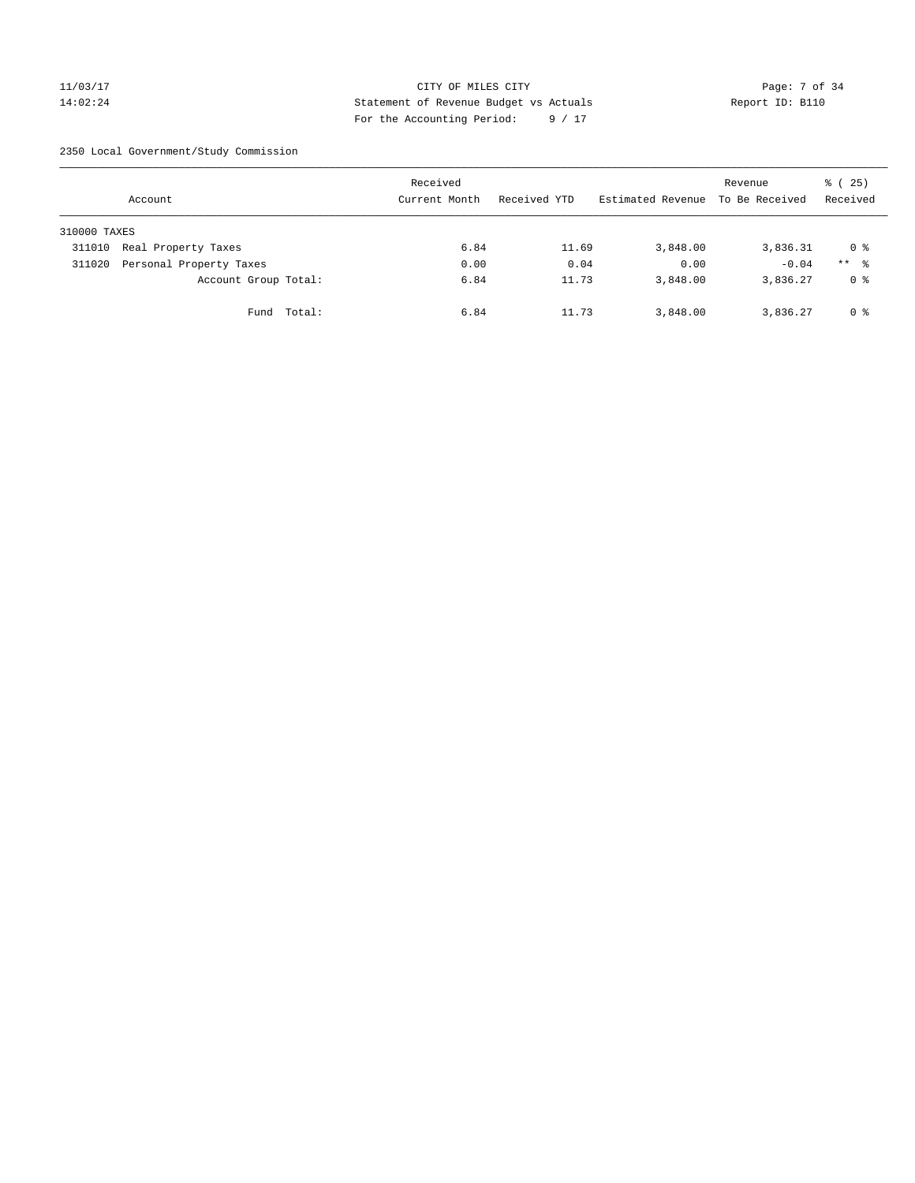## 11/03/17 CITY OF MILES CITY Page: 7 of 34 14:02:24 Statement of Revenue Budget vs Actuals Report ID: B110 For the Accounting Period: 9 / 17

2350 Local Government/Study Commission

|              | Account                 |             | Received<br>Current Month | Received YTD | Estimated Revenue | Revenue<br>To Be Received | % (25)<br>Received |
|--------------|-------------------------|-------------|---------------------------|--------------|-------------------|---------------------------|--------------------|
| 310000 TAXES |                         |             |                           |              |                   |                           |                    |
| 311010       | Real Property Taxes     |             | 6.84                      | 11.69        | 3,848.00          | 3,836.31                  | 0 %                |
| 311020       | Personal Property Taxes |             | 0.00                      | 0.04         | 0.00              | $-0.04$                   | $***$ %            |
|              | Account Group Total:    |             | 6.84                      | 11.73        | 3,848.00          | 3,836.27                  | 0 %                |
|              |                         | Fund Total: | 6.84                      | 11.73        | 3,848.00          | 3,836.27                  | 0 %                |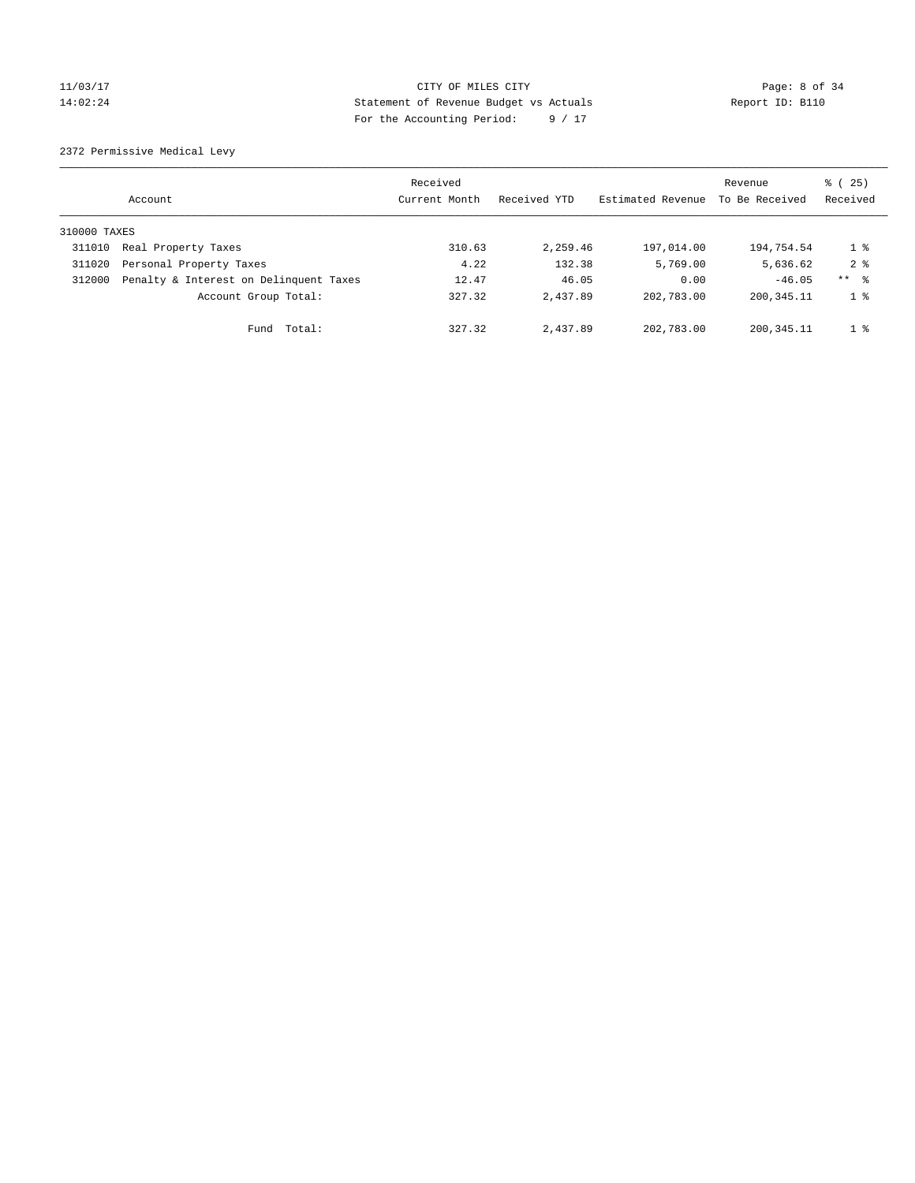# 11/03/17 Page: 8 of 34 14:02:24 Statement of Revenue Budget vs Actuals Report ID: B110 For the Accounting Period: 9 / 17

2372 Permissive Medical Levy

|              | Account                                | Received<br>Current Month | Received YTD | Estimated Revenue | Revenue<br>To Be Received | $\frac{1}{6}$ ( 25)<br>Received |
|--------------|----------------------------------------|---------------------------|--------------|-------------------|---------------------------|---------------------------------|
| 310000 TAXES |                                        |                           |              |                   |                           |                                 |
| 311010       | Real Property Taxes                    | 310.63                    | 2,259.46     | 197,014.00        | 194,754.54                | $1 \circ$                       |
| 311020       | Personal Property Taxes                | 4.22                      | 132.38       | 5,769.00          | 5,636.62                  | $2 \div$                        |
| 312000       | Penalty & Interest on Delinquent Taxes | 12.47                     | 46.05        | 0.00              | $-46.05$                  | ** 8                            |
|              | Account Group Total:                   | 327.32                    | 2,437.89     | 202,783.00        | 200, 345.11               | 1 <sup>8</sup>                  |
|              | Total:<br>Fund                         | 327.32                    | 2,437.89     | 202,783.00        | 200, 345.11               | 1 <sup>8</sup>                  |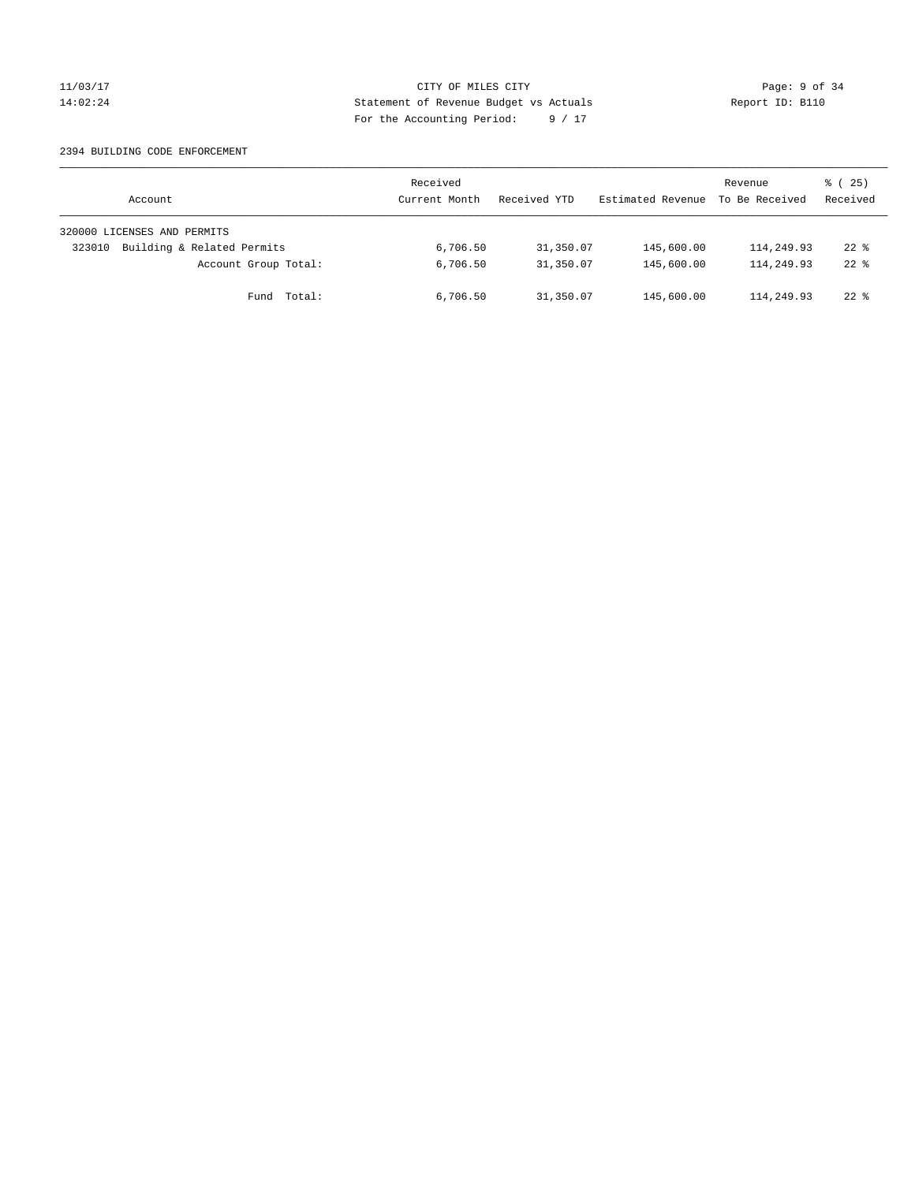## 11/03/17 CITY OF MILES CITY Page: 9 of 34 14:02:24 Statement of Revenue Budget vs Actuals Report ID: B110 For the Accounting Period: 9 / 17

#### 2394 BUILDING CODE ENFORCEMENT

| Account                              | Received<br>Current Month | Received YTD | Estimated Revenue | Revenue<br>To Be Received | 8 (25)<br>Received |
|--------------------------------------|---------------------------|--------------|-------------------|---------------------------|--------------------|
| 320000 LICENSES AND PERMITS          |                           |              |                   |                           |                    |
| Building & Related Permits<br>323010 | 6,706.50                  | 31,350.07    | 145,600.00        | 114,249.93                | $22$ %             |
| Account Group Total:                 | 6,706.50                  | 31,350.07    | 145,600.00        | 114,249.93                | $22$ $%$           |
| Fund Total:                          | 6,706.50                  | 31,350.07    | 145,600.00        | 114,249.93                | $22*$              |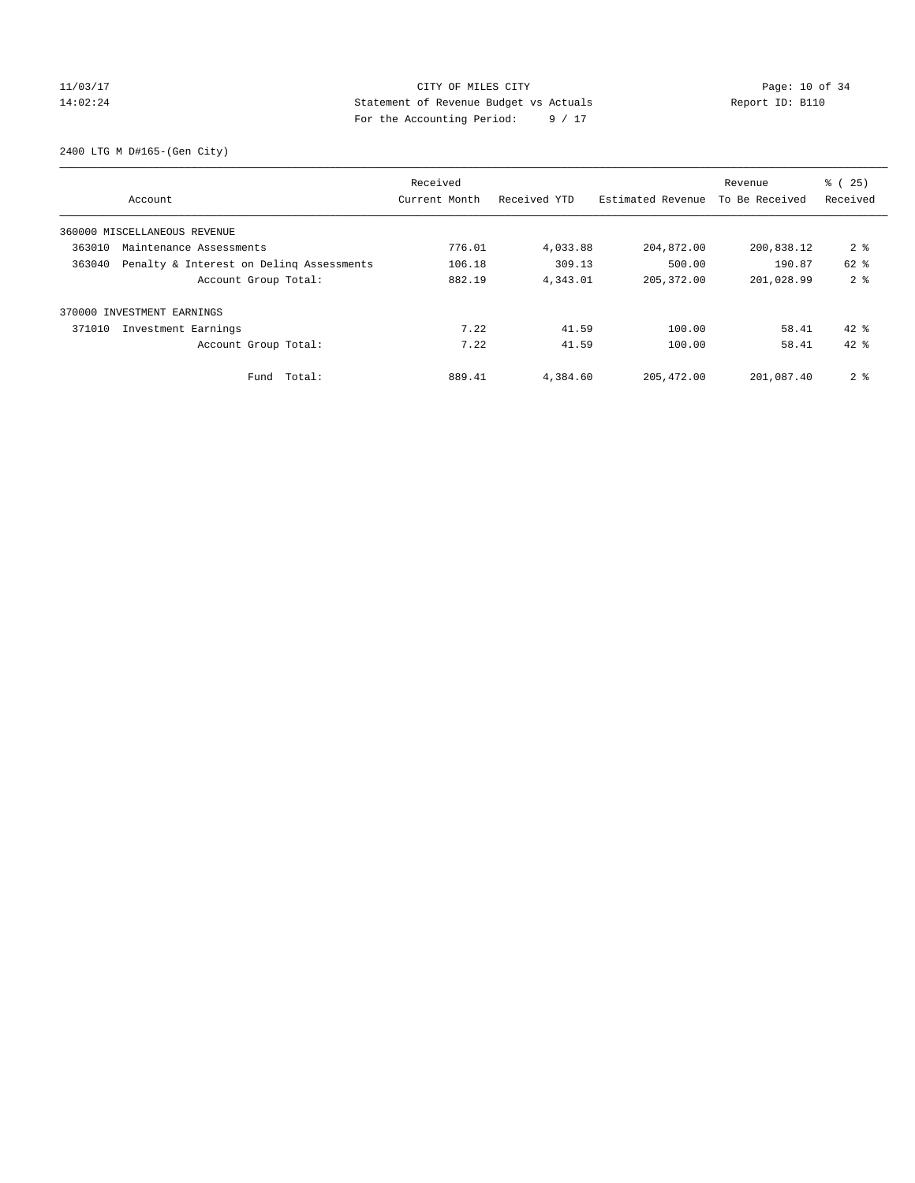# 11/03/17 Page: 10 of 34 14:02:24 Statement of Revenue Budget vs Actuals Report ID: B110 For the Accounting Period: 9 / 17

2400 LTG M D#165-(Gen City)

|        |                                          | Received      |              |                   | Revenue        | % (25)         |
|--------|------------------------------------------|---------------|--------------|-------------------|----------------|----------------|
|        | Account                                  | Current Month | Received YTD | Estimated Revenue | To Be Received | Received       |
|        | 360000 MISCELLANEOUS REVENUE             |               |              |                   |                |                |
| 363010 | Maintenance Assessments                  | 776.01        | 4,033.88     | 204,872.00        | 200,838.12     | 2 <sup>8</sup> |
| 363040 | Penalty & Interest on Deling Assessments | 106.18        | 309.13       | 500.00            | 190.87         | $62$ $%$       |
|        | Account Group Total:                     | 882.19        | 4,343.01     | 205, 372.00       | 201,028.99     | 2 <sub>8</sub> |
| 370000 | INVESTMENT EARNINGS                      |               |              |                   |                |                |
| 371010 | Investment Earnings                      | 7.22          | 41.59        | 100.00            | 58.41          | $42*$          |
|        | Account Group Total:                     | 7.22          | 41.59        | 100.00            | 58.41          | $42*$          |
|        | Fund Total:                              | 889.41        | 4,384.60     | 205, 472.00       | 201,087.40     | 2 <sub>8</sub> |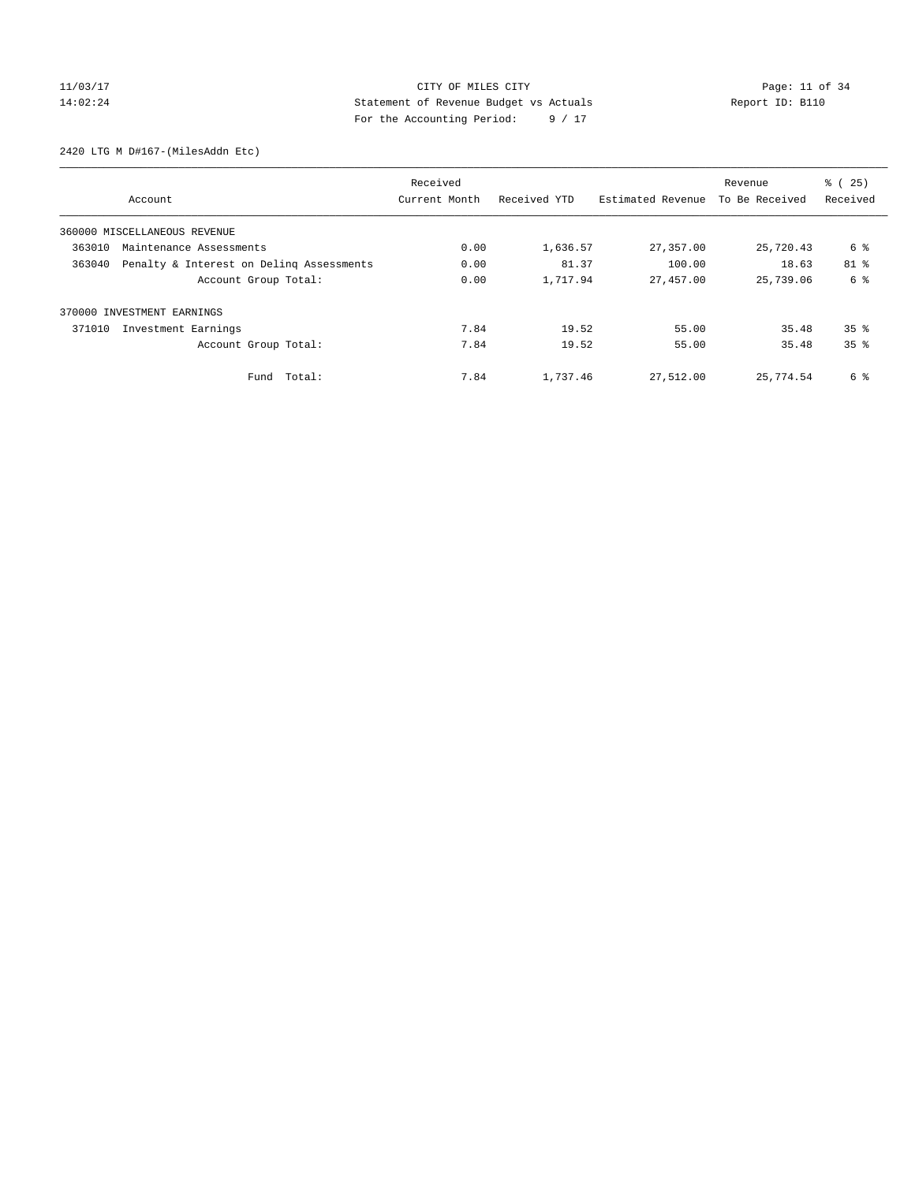# 11/03/17 Page: 11 of 34 14:02:24 Statement of Revenue Budget vs Actuals Report ID: B110 For the Accounting Period: 9 / 17

2420 LTG M D#167-(MilesAddn Etc)

|        |                                          | Received      |              |                   | Revenue        | % (25)          |
|--------|------------------------------------------|---------------|--------------|-------------------|----------------|-----------------|
|        | Account                                  | Current Month | Received YTD | Estimated Revenue | To Be Received | Received        |
|        | 360000 MISCELLANEOUS REVENUE             |               |              |                   |                |                 |
| 363010 | Maintenance Assessments                  | 0.00          | 1,636.57     | 27,357.00         | 25,720.43      | 6 %             |
| 363040 | Penalty & Interest on Deling Assessments | 0.00          | 81.37        | 100.00            | 18.63          | $81$ %          |
|        | Account Group Total:                     | 0.00          | 1,717.94     | 27,457.00         | 25,739.06      | 6 %             |
| 370000 | INVESTMENT EARNINGS                      |               |              |                   |                |                 |
| 371010 | Investment Earnings                      | 7.84          | 19.52        | 55.00             | 35.48          | 35 <sup>8</sup> |
|        | Account Group Total:                     | 7.84          | 19.52        | 55.00             | 35.48          | 35 <sup>8</sup> |
|        | Total:<br>Fund                           | 7.84          | 1,737.46     | 27,512.00         | 25,774.54      | 6 %             |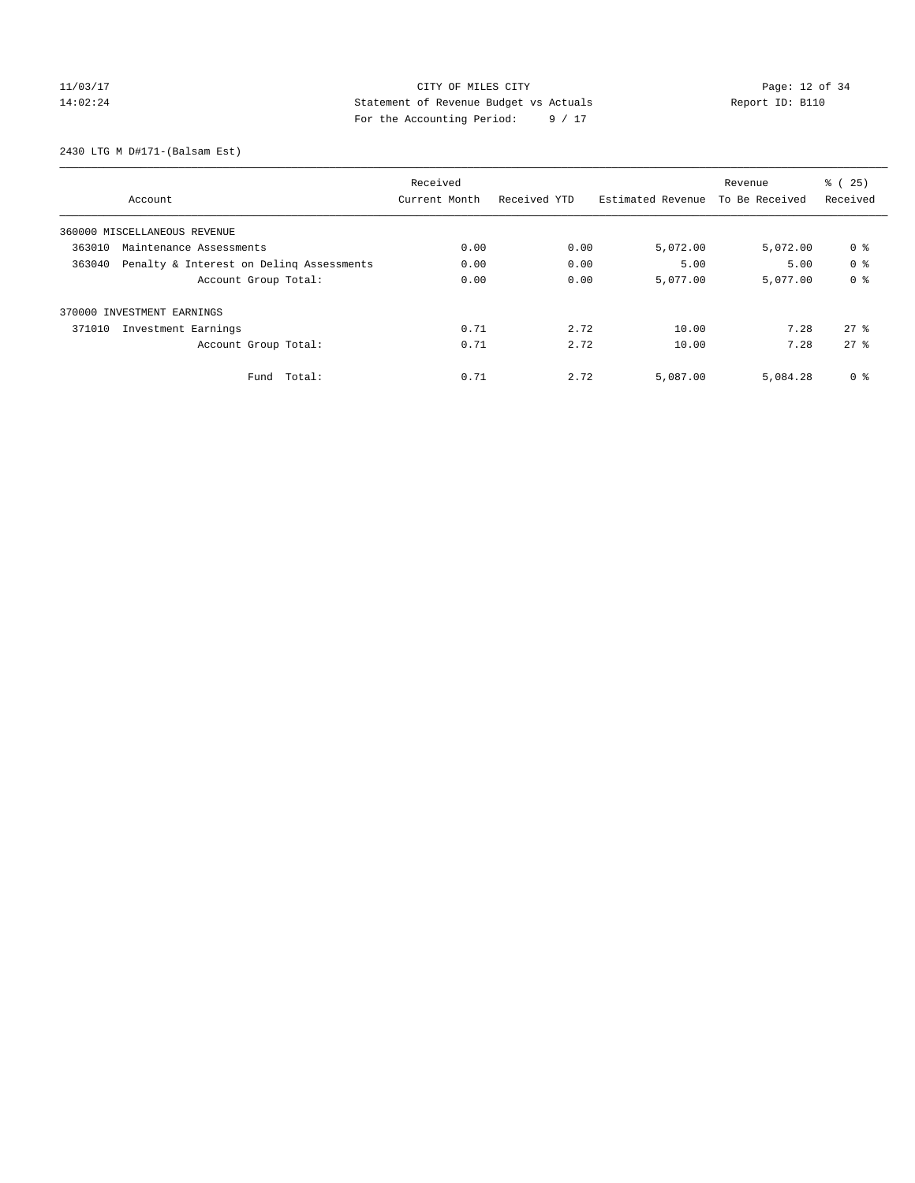# 11/03/17 Page: 12 of 34 14:02:24 Statement of Revenue Budget vs Actuals Report ID: B110 For the Accounting Period: 9 / 17

2430 LTG M D#171-(Balsam Est)

|        |                                          | Received      |              |                   | Revenue        | % (25)         |
|--------|------------------------------------------|---------------|--------------|-------------------|----------------|----------------|
|        | Account                                  | Current Month | Received YTD | Estimated Revenue | To Be Received | Received       |
|        | 360000 MISCELLANEOUS REVENUE             |               |              |                   |                |                |
| 363010 | Maintenance Assessments                  | 0.00          | 0.00         | 5,072.00          | 5,072.00       | 0 <sup>8</sup> |
| 363040 | Penalty & Interest on Deling Assessments | 0.00          | 0.00         | 5.00              | 5.00           | 0 <sup>8</sup> |
|        | Account Group Total:                     | 0.00          | 0.00         | 5,077.00          | 5,077.00       | 0 <sup>8</sup> |
|        | 370000 INVESTMENT EARNINGS               |               |              |                   |                |                |
| 371010 | Investment Earnings                      | 0.71          | 2.72         | 10.00             | 7.28           | $27$ $%$       |
|        | Account Group Total:                     | 0.71          | 2.72         | 10.00             | 7.28           | $27 - 26$      |
|        | Total:<br>Fund                           | 0.71          | 2.72         | 5,087.00          | 5,084.28       | 0 <sup>8</sup> |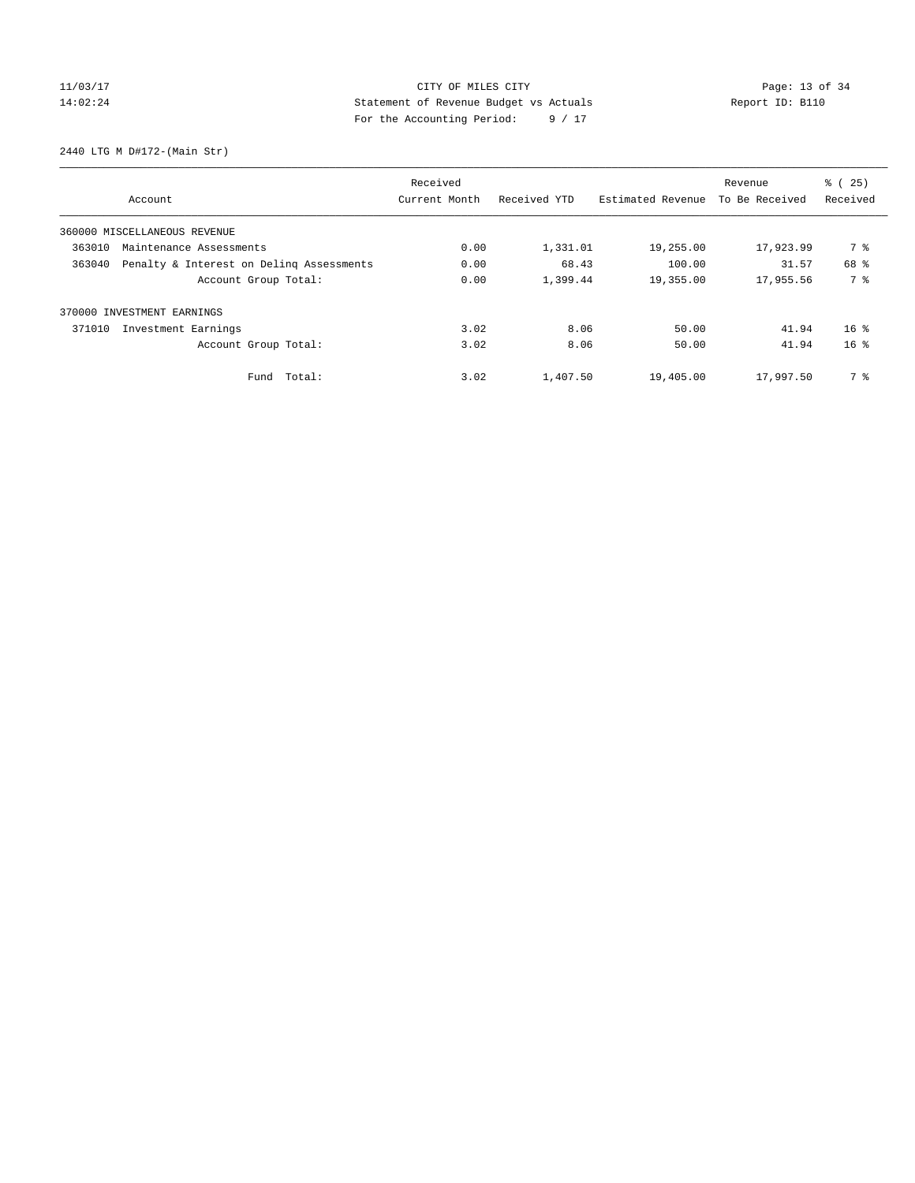# 11/03/17 Page: 13 of 34 14:02:24 Statement of Revenue Budget vs Actuals Report ID: B110 For the Accounting Period: 9 / 17

2440 LTG M D#172-(Main Str)

|        |                                          | Received      |              |                   | Revenue        | % (25)          |
|--------|------------------------------------------|---------------|--------------|-------------------|----------------|-----------------|
|        | Account                                  | Current Month | Received YTD | Estimated Revenue | To Be Received | Received        |
|        | 360000 MISCELLANEOUS REVENUE             |               |              |                   |                |                 |
| 363010 | Maintenance Assessments                  | 0.00          | 1,331.01     | 19,255.00         | 17,923.99      | 7 %             |
| 363040 | Penalty & Interest on Deling Assessments | 0.00          | 68.43        | 100.00            | 31.57          | 68 %            |
|        | Account Group Total:                     | 0.00          | 1,399.44     | 19,355.00         | 17,955.56      | 7 %             |
|        | 370000 INVESTMENT EARNINGS               |               |              |                   |                |                 |
| 371010 | Investment Earnings                      | 3.02          | 8.06         | 50.00             | 41.94          | 16 <sup>8</sup> |
|        | Account Group Total:                     | 3.02          | 8.06         | 50.00             | 41.94          | 16 <sup>8</sup> |
|        | Fund Total:                              | 3.02          | 1,407.50     | 19,405.00         | 17,997.50      | 7 %             |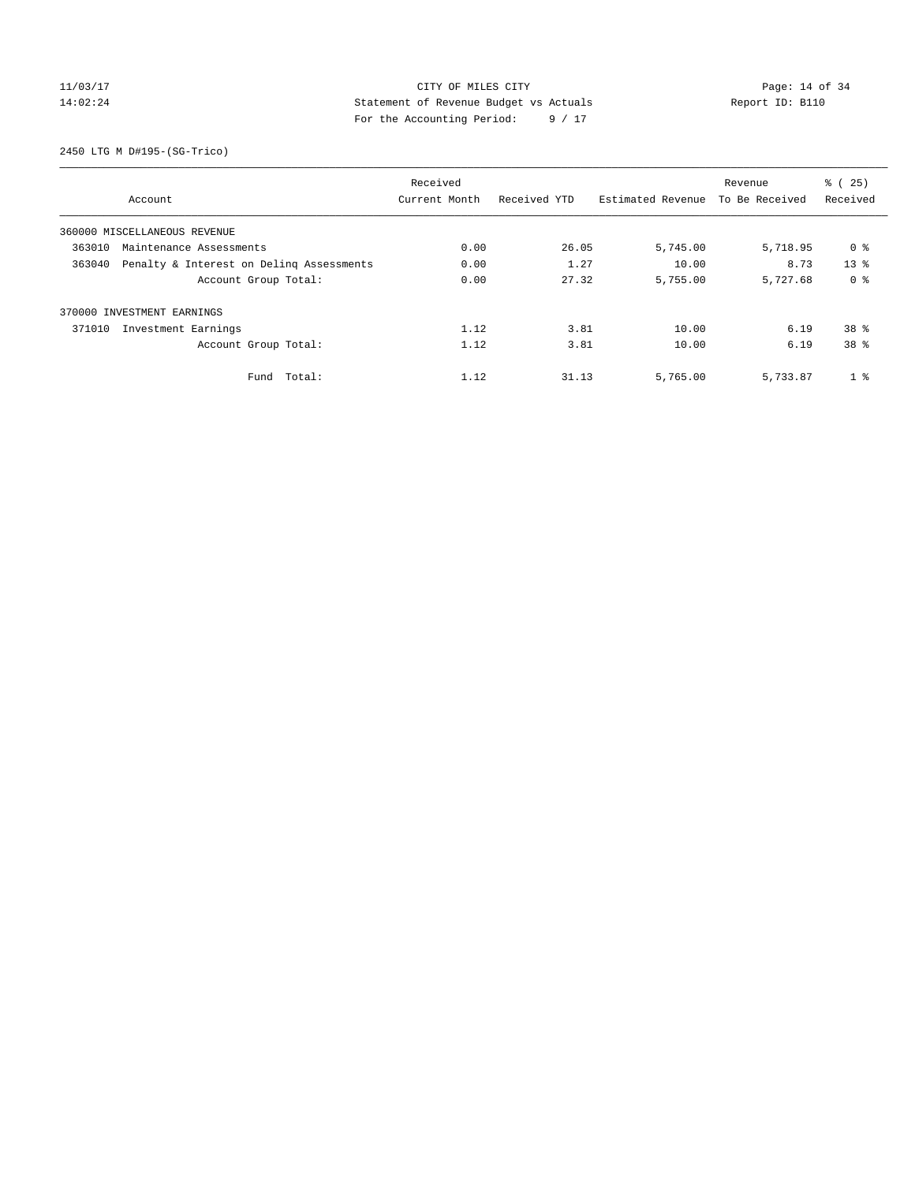# 11/03/17 Page: 14 of 34 14:02:24 Statement of Revenue Budget vs Actuals Report ID: B110 For the Accounting Period: 9 / 17

2450 LTG M D#195-(SG-Trico)

|        |                                          | Received      |              |                   | Revenue        | % (25)          |
|--------|------------------------------------------|---------------|--------------|-------------------|----------------|-----------------|
|        | Account                                  | Current Month | Received YTD | Estimated Revenue | To Be Received | Received        |
|        | 360000 MISCELLANEOUS REVENUE             |               |              |                   |                |                 |
| 363010 | Maintenance Assessments                  | 0.00          | 26.05        | 5,745.00          | 5,718.95       | 0 %             |
| 363040 | Penalty & Interest on Deling Assessments | 0.00          | 1.27         | 10.00             | 8.73           | 13 <sup>8</sup> |
|        | Account Group Total:                     | 0.00          | 27.32        | 5,755.00          | 5,727.68       | 0 <sup>8</sup>  |
|        | 370000 INVESTMENT EARNINGS               |               |              |                   |                |                 |
| 371010 | Investment Earnings                      | 1.12          | 3.81         | 10.00             | 6.19           | 38 <sup>8</sup> |
|        | Account Group Total:                     | 1.12          | 3.81         | 10.00             | 6.19           | 38 <sup>8</sup> |
|        | Fund Total:                              | 1.12          | 31.13        | 5,765.00          | 5,733.87       | 1 <sup>8</sup>  |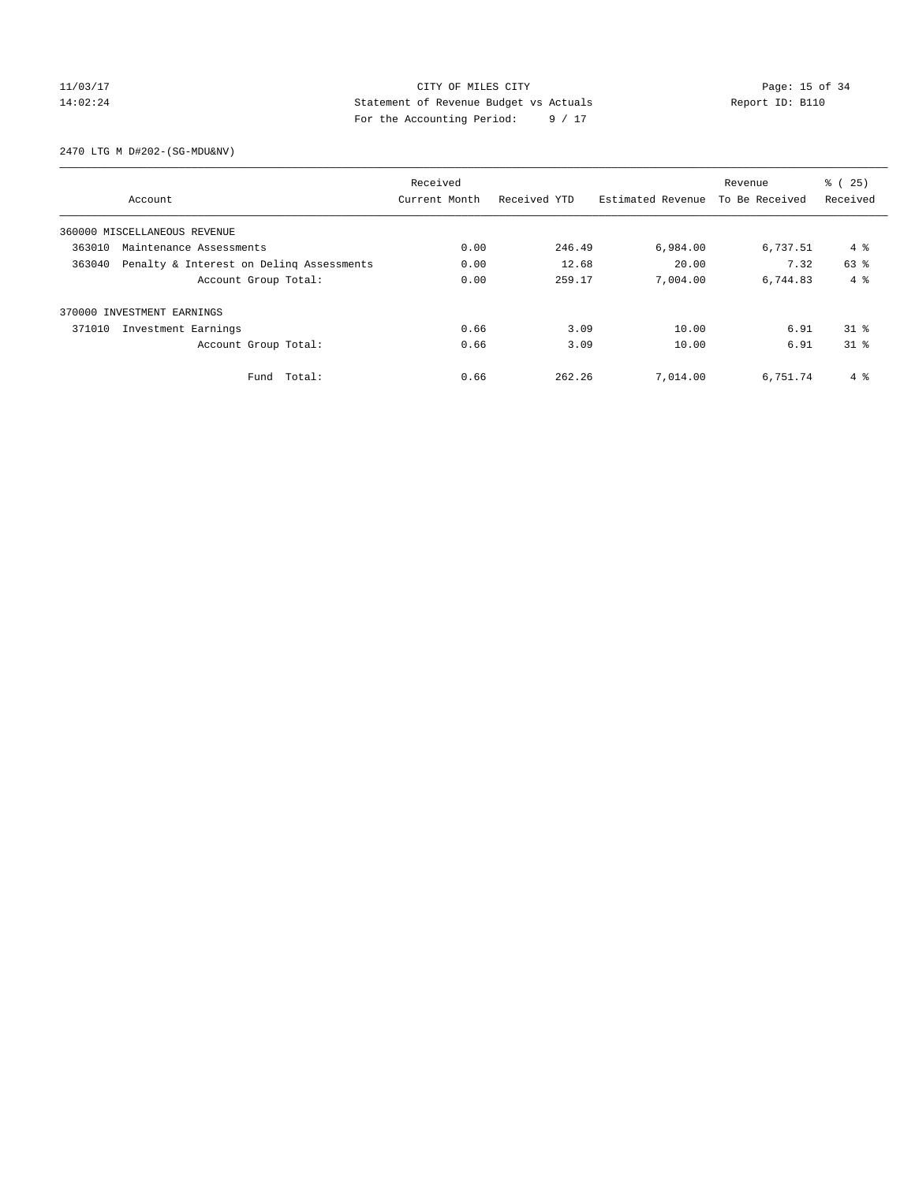## 11/03/17 CITY OF MILES CITY Page: 15 of 34 14:02:24 Statement of Revenue Budget vs Actuals Report ID: B110 For the Accounting Period: 9 / 17

2470 LTG M D#202-(SG-MDU&NV)

|        |                                          | Received      |              |                   | Revenue        | % (25)       |
|--------|------------------------------------------|---------------|--------------|-------------------|----------------|--------------|
|        | Account                                  | Current Month | Received YTD | Estimated Revenue | To Be Received | Received     |
|        | 360000 MISCELLANEOUS REVENUE             |               |              |                   |                |              |
| 363010 | Maintenance Assessments                  | 0.00          | 246.49       | 6,984.00          | 6,737.51       | 4 %          |
| 363040 | Penalty & Interest on Deling Assessments | 0.00          | 12.68        | 20.00             | 7.32           | 63 %         |
|        | Account Group Total:                     | 0.00          | 259.17       | 7,004.00          | 6,744.83       | $4 \text{ }$ |
|        | 370000 INVESTMENT EARNINGS               |               |              |                   |                |              |
| 371010 | Investment Earnings                      | 0.66          | 3.09         | 10.00             | 6.91           | $31*$        |
|        | Account Group Total:                     | 0.66          | 3.09         | 10.00             | 6.91           | $31$ $%$     |
|        | Fund Total:                              | 0.66          | 262.26       | 7,014.00          | 6,751.74       | 4 %          |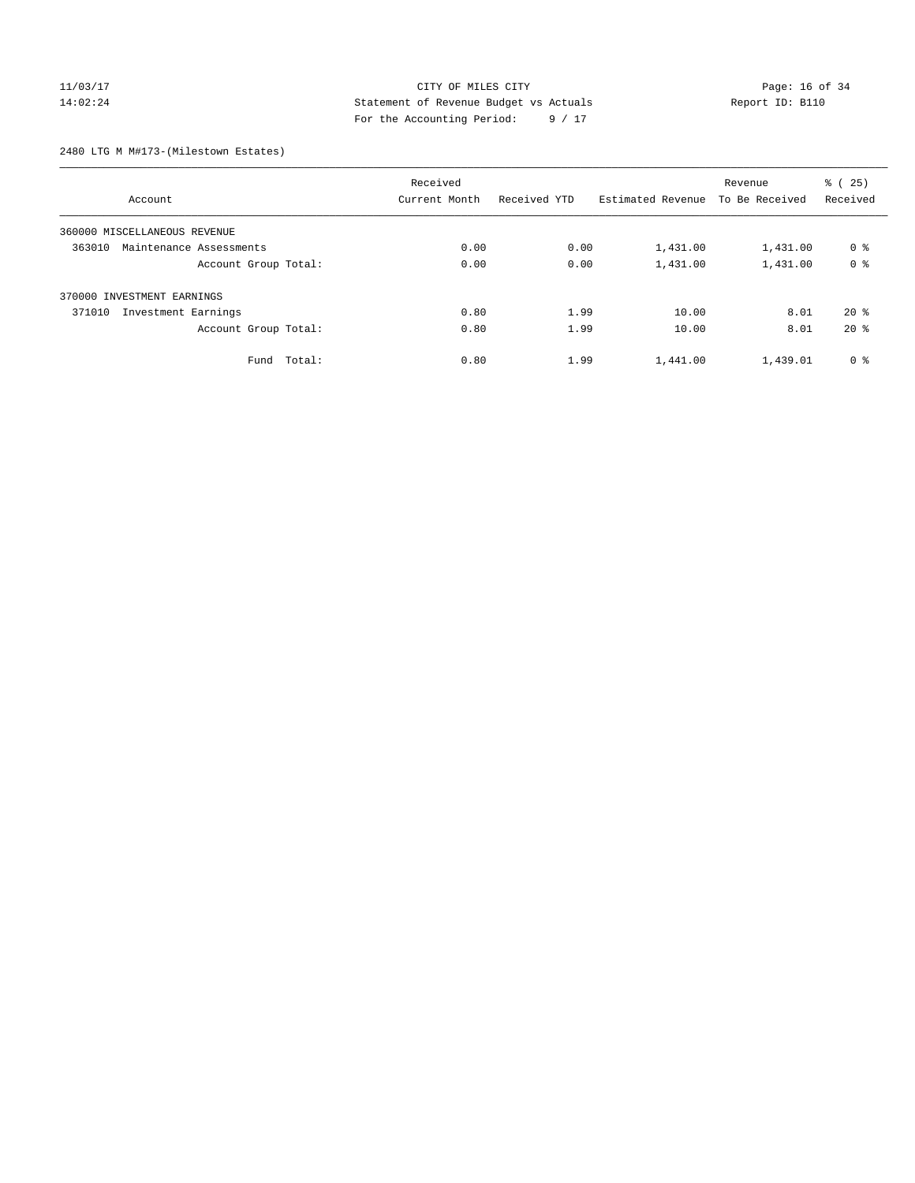## 11/03/17 CITY OF MILES CITY Page: 16 of 34 14:02:24 Statement of Revenue Budget vs Actuals Report ID: B110 For the Accounting Period: 9 / 17

2480 LTG M M#173-(Milestown Estates)

|                                   | Received      |              |                   | Revenue<br>To Be Received | % (25)         |
|-----------------------------------|---------------|--------------|-------------------|---------------------------|----------------|
| Account                           | Current Month | Received YTD | Estimated Revenue |                           | Received       |
| 360000 MISCELLANEOUS REVENUE      |               |              |                   |                           |                |
| 363010<br>Maintenance Assessments | 0.00          | 0.00         | 1,431.00          | 1,431.00                  | 0 <sup>8</sup> |
| Account Group Total:              | 0.00          | 0.00         | 1,431.00          | 1,431.00                  | 0 <sup>8</sup> |
| 370000 INVESTMENT EARNINGS        |               |              |                   |                           |                |
| 371010<br>Investment Earnings     | 0.80          | 1.99         | 10.00             | 8.01                      | $20*$          |
| Account Group Total:              | 0.80          | 1.99         | 10.00             | 8.01                      | $20*$          |
| Fund Total:                       | 0.80          | 1.99         | 1,441.00          | 1,439.01                  | 0 <sup>8</sup> |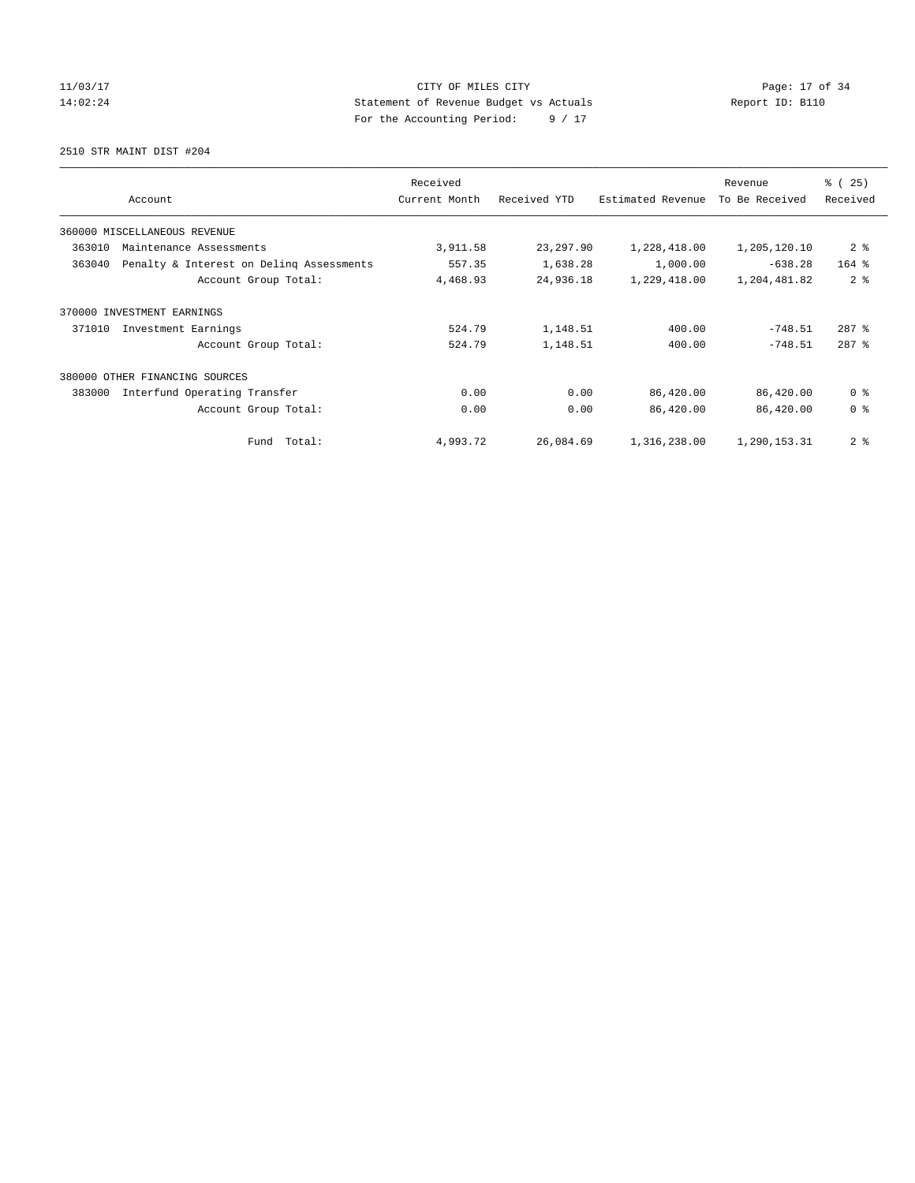11/03/17 Page: 17 of 34 14:02:24 Statement of Revenue Budget vs Actuals Report ID: B110 For the Accounting Period: 9 / 17

2510 STR MAINT DIST #204

| Account                                            | Received<br>Current Month | Received YTD | Estimated Revenue | Revenue<br>To Be Received | % (25)<br>Received |
|----------------------------------------------------|---------------------------|--------------|-------------------|---------------------------|--------------------|
| 360000 MISCELLANEOUS REVENUE                       |                           |              |                   |                           |                    |
| 363010<br>Maintenance Assessments                  | 3,911.58                  | 23, 297.90   | 1,228,418.00      | 1,205,120.10              | 2 <sup>8</sup>     |
| Penalty & Interest on Deling Assessments<br>363040 | 557.35                    | 1,638.28     | 1,000.00          | $-638.28$                 | $164$ %            |
| Account Group Total:                               | 4,468.93                  | 24,936.18    | 1,229,418.00      | 1,204,481.82              | 2 <sup>8</sup>     |
| 370000<br>INVESTMENT EARNINGS                      |                           |              |                   |                           |                    |
| 371010<br>Investment Earnings                      | 524.79                    | 1,148.51     | 400.00            | $-748.51$                 | $287$ $%$          |
| Account Group Total:                               | 524.79                    | 1,148.51     | 400.00            | $-748.51$                 | $287$ $%$          |
| 380000 OTHER FINANCING SOURCES                     |                           |              |                   |                           |                    |
| 383000<br>Interfund Operating Transfer             | 0.00                      | 0.00         | 86,420.00         | 86,420.00                 | 0 <sup>8</sup>     |
| Account Group Total:                               | 0.00                      | 0.00         | 86,420.00         | 86,420.00                 | 0 <sup>8</sup>     |
| Total:<br>Fund                                     | 4,993.72                  | 26,084.69    | 1,316,238.00      | 1,290,153.31              | 2 <sub>8</sub>     |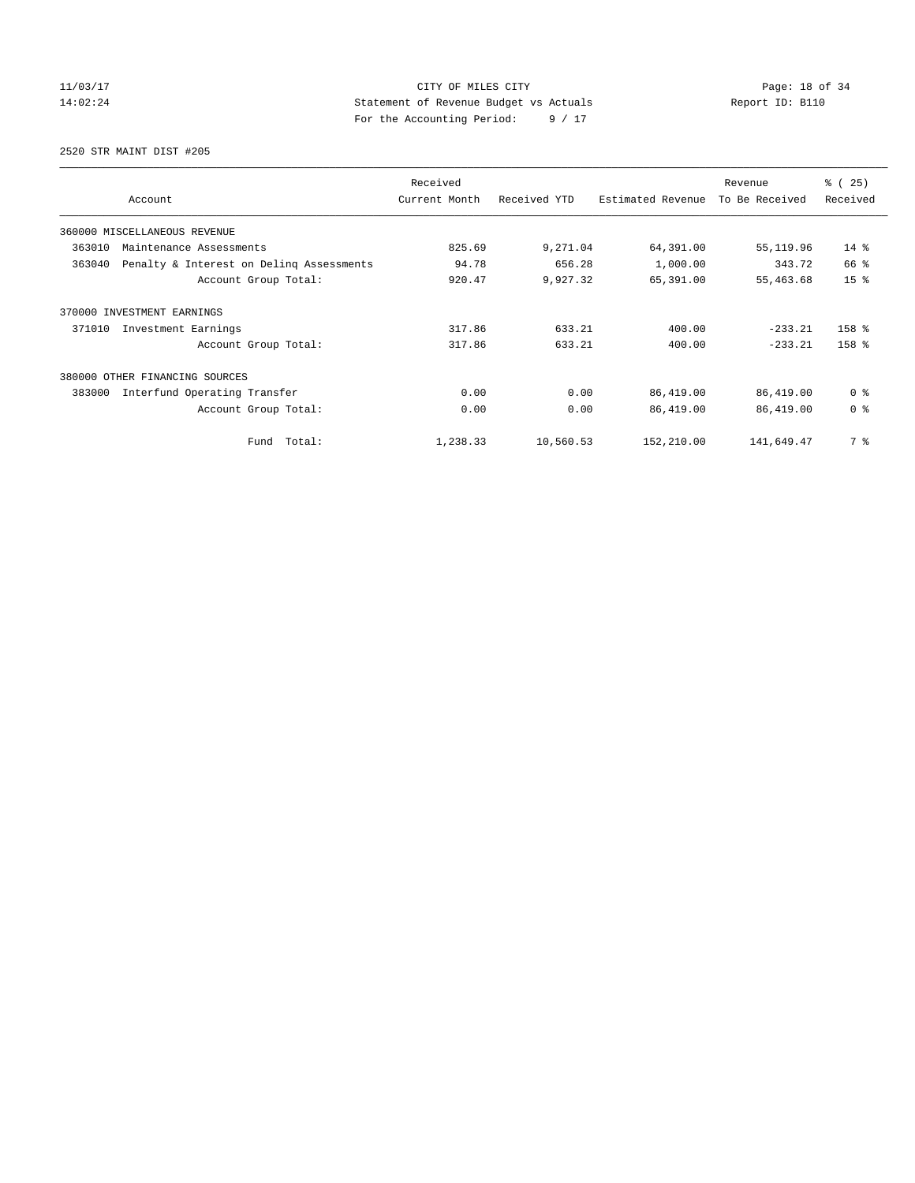11/03/17 CITY OF MILES CITY Page: 18 of 34 14:02:24 Statement of Revenue Budget vs Actuals Report ID: B110 For the Accounting Period: 9 / 17

2520 STR MAINT DIST #205

| Account                                            | Received<br>Current Month | Received YTD | Estimated Revenue | Revenue<br>To Be Received | % (25)<br>Received |
|----------------------------------------------------|---------------------------|--------------|-------------------|---------------------------|--------------------|
| 360000 MISCELLANEOUS REVENUE                       |                           |              |                   |                           |                    |
| 363010<br>Maintenance Assessments                  | 825.69                    | 9,271.04     | 64,391.00         | 55,119.96                 | $14*$              |
| 363040<br>Penalty & Interest on Deling Assessments | 94.78                     | 656.28       | 1,000.00          | 343.72                    | 66 %               |
| Account Group Total:                               | 920.47                    | 9,927.32     | 65,391.00         | 55,463.68                 | 15 <sup>8</sup>    |
| 370000 INVESTMENT EARNINGS                         |                           |              |                   |                           |                    |
| 371010<br>Investment Earnings                      | 317.86                    | 633.21       | 400.00            | $-233.21$                 | 158 %              |
| Account Group Total:                               | 317.86                    | 633.21       | 400.00            | $-233.21$                 | 158 %              |
| 380000<br>OTHER FINANCING SOURCES                  |                           |              |                   |                           |                    |
| Interfund Operating Transfer<br>383000             | 0.00                      | 0.00         | 86,419.00         | 86,419.00                 | 0 <sup>8</sup>     |
| Account Group Total:                               | 0.00                      | 0.00         | 86,419.00         | 86,419.00                 | 0 <sup>8</sup>     |
| Fund Total:                                        | 1,238.33                  | 10,560.53    | 152,210.00        | 141,649.47                | 7 %                |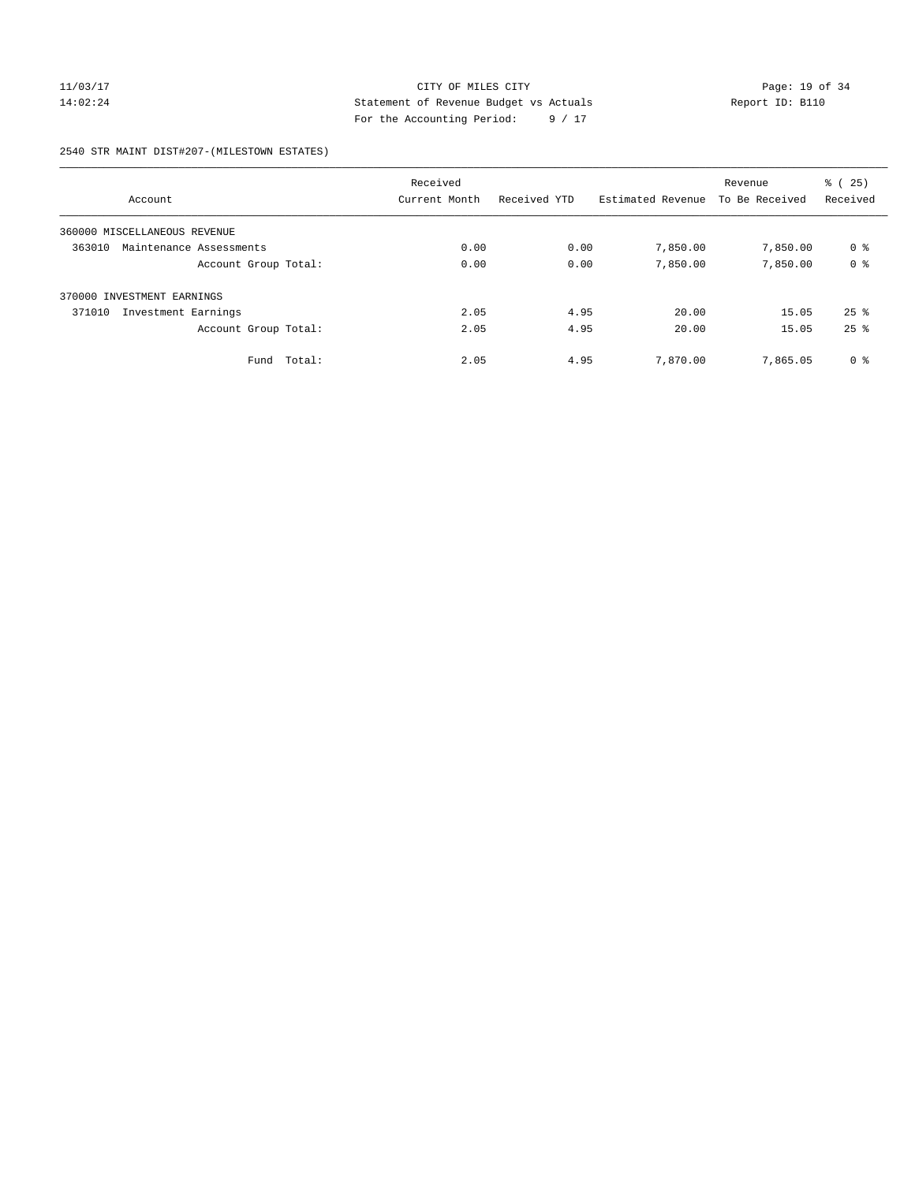## 11/03/17 CITY OF MILES CITY Page: 19 of 34 14:02:24 Statement of Revenue Budget vs Actuals Report ID: B110 For the Accounting Period: 9 / 17

#### 2540 STR MAINT DIST#207-(MILESTOWN ESTATES)

|                                   | Received      |              |                   |                | ී (<br>25)         |
|-----------------------------------|---------------|--------------|-------------------|----------------|--------------------|
| Account                           | Current Month | Received YTD | Estimated Revenue | To Be Received | Received           |
| 360000 MISCELLANEOUS REVENUE      |               |              |                   |                |                    |
| 363010<br>Maintenance Assessments | 0.00          | 0.00         | 7,850.00          | 7,850.00       | 0 %                |
| Account Group Total:              | 0.00          | 0.00         | 7,850.00          | 7,850.00       | 0 <sup>8</sup>     |
| 370000 INVESTMENT EARNINGS        |               |              |                   |                |                    |
| Investment Earnings<br>371010     | 2.05          | 4.95         | 20.00             | 15.05          | $25$ $\frac{6}{3}$ |
| Account Group Total:              | 2.05          | 4.95         | 20.00             | 15.05          | $25$ $%$           |
| Total:<br>Fund                    | 2.05          | 4.95         | 7,870.00          | 7,865.05       | 0 <sup>8</sup>     |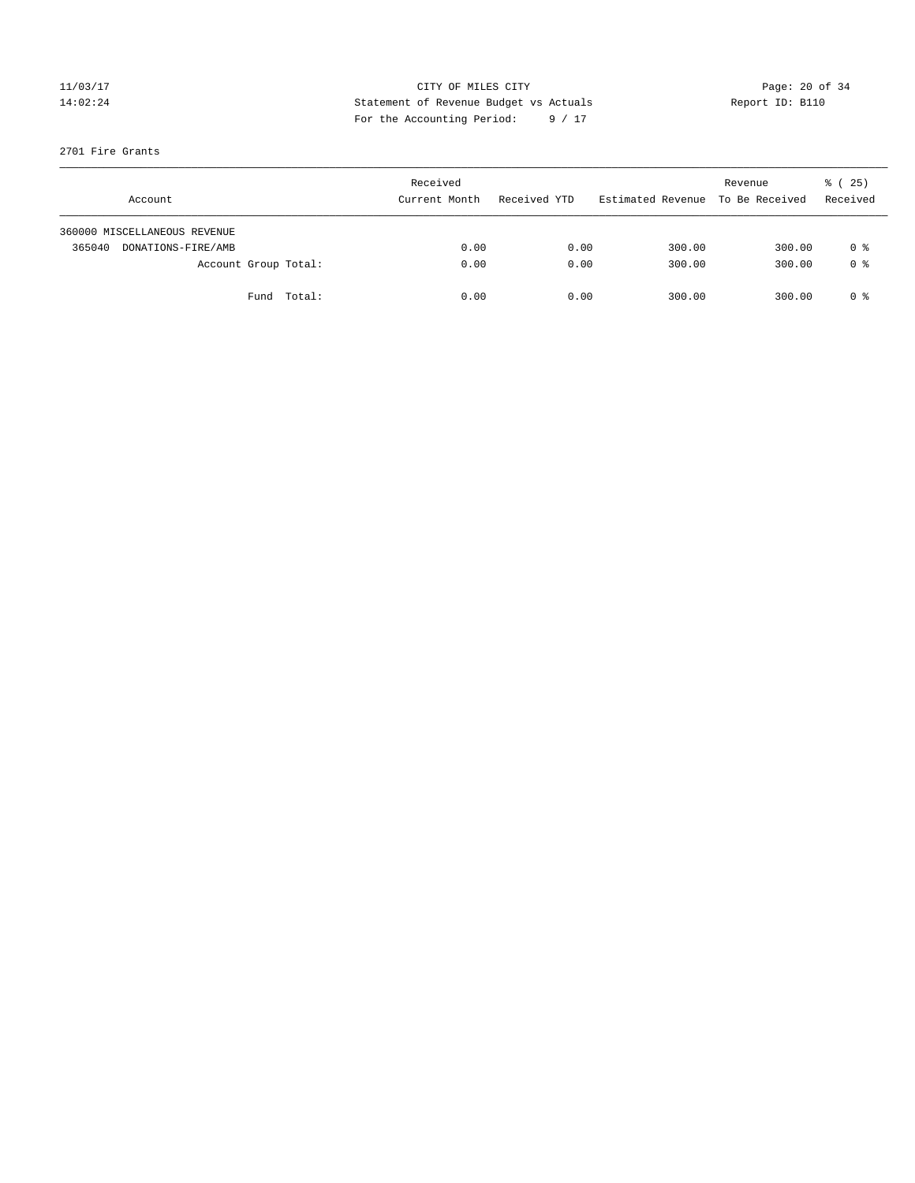## 11/03/17 Page: 20 of 34 14:02:24 Statement of Revenue Budget vs Actuals Report ID: B110 For the Accounting Period: 9 / 17

#### 2701 Fire Grants

| Account                      | Received<br>Current Month | Received YTD | Estimated Revenue | Revenue<br>To Be Received | % (25)<br>Received |
|------------------------------|---------------------------|--------------|-------------------|---------------------------|--------------------|
| 360000 MISCELLANEOUS REVENUE |                           |              |                   |                           |                    |
| 365040<br>DONATIONS-FIRE/AMB | 0.00                      | 0.00         | 300.00            | 300.00                    | 0 %                |
| Account Group Total:         | 0.00                      | 0.00         | 300.00            | 300.00                    | 0 %                |
| Fund Total:                  | 0.00                      | 0.00         | 300.00            | 300.00                    | 0 ક                |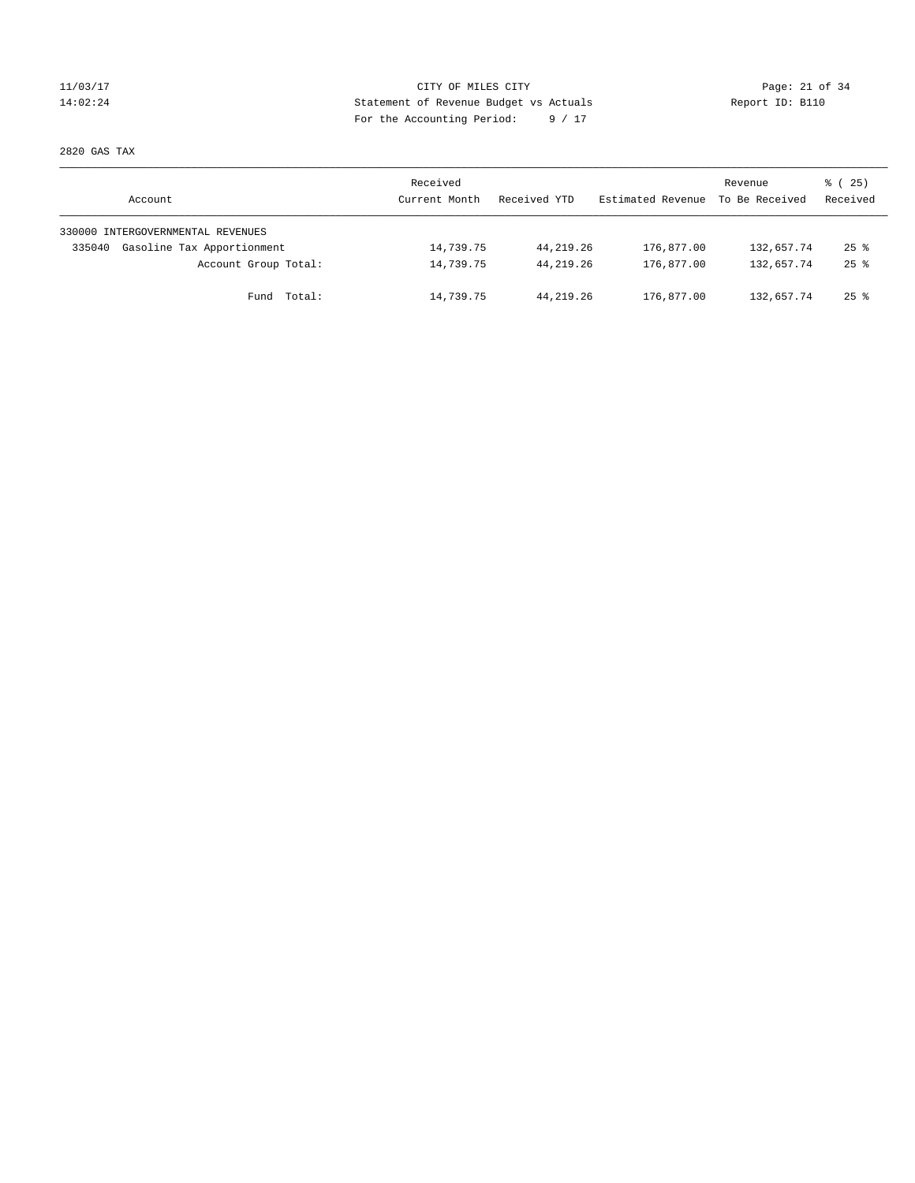## 11/03/17 CITY OF MILES CITY Page: 21 of 34 14:02:24 Statement of Revenue Budget vs Actuals Report ID: B110 For the Accounting Period: 9 / 17

2820 GAS TAX

| Account                              | Received<br>Current Month | Received YTD | Estimated Revenue | Revenue<br>To Be Received | 8 (25)<br>Received |
|--------------------------------------|---------------------------|--------------|-------------------|---------------------------|--------------------|
| 330000 INTERGOVERNMENTAL REVENUES    |                           |              |                   |                           |                    |
| Gasoline Tax Apportionment<br>335040 | 14,739.75                 | 44, 219, 26  | 176,877.00        | 132,657.74                | $25$ $\frac{6}{5}$ |
| Account Group Total:                 | 14,739.75                 | 44,219.26    | 176,877.00        | 132,657.74                | $25$ $\frac{6}{5}$ |
| Fund Total:                          | 14,739.75                 | 44, 219, 26  | 176,877.00        | 132,657.74                | $25$ %             |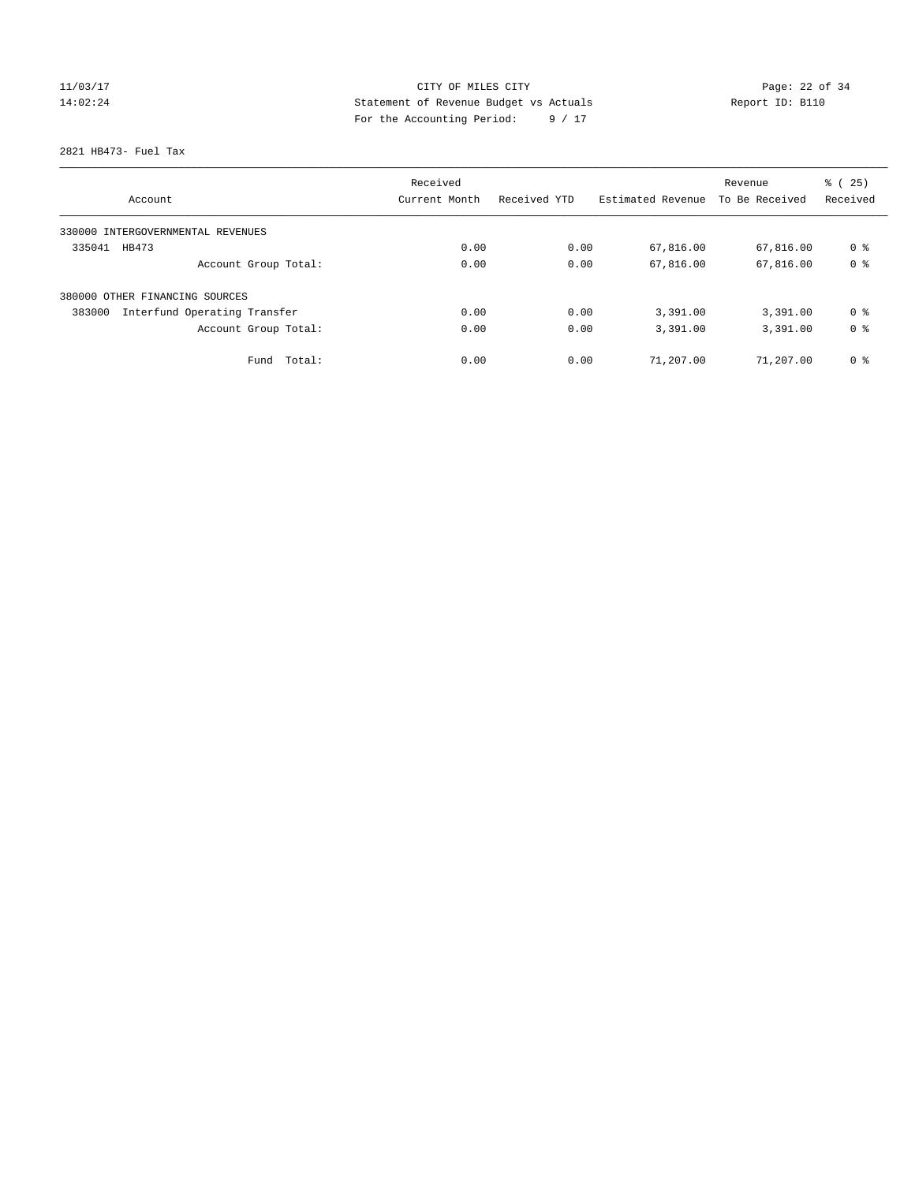# 11/03/17 Page: 22 of 34 14:02:24 Statement of Revenue Budget vs Actuals Report ID: B110 For the Accounting Period: 9 / 17

2821 HB473- Fuel Tax

| Account                                | Received<br>Current Month | Received YTD | Estimated Revenue | Revenue<br>To Be Received | % (25)<br>Received |
|----------------------------------------|---------------------------|--------------|-------------------|---------------------------|--------------------|
|                                        |                           |              |                   |                           |                    |
| 330000 INTERGOVERNMENTAL REVENUES      |                           |              |                   |                           |                    |
| 335041<br>HB473                        | 0.00                      | 0.00         | 67,816.00         | 67,816.00                 | 0 <sup>8</sup>     |
| Account Group Total:                   | 0.00                      | 0.00         | 67,816.00         | 67,816.00                 | 0 <sup>8</sup>     |
| 380000 OTHER FINANCING SOURCES         |                           |              |                   |                           |                    |
| Interfund Operating Transfer<br>383000 | 0.00                      | 0.00         | 3,391.00          | 3,391.00                  | 0 <sup>8</sup>     |
| Account Group Total:                   | 0.00                      | 0.00         | 3,391.00          | 3,391.00                  | 0 <sup>8</sup>     |
| Total:<br>Fund                         | 0.00                      | 0.00         | 71,207.00         | 71,207.00                 | 0 <sup>8</sup>     |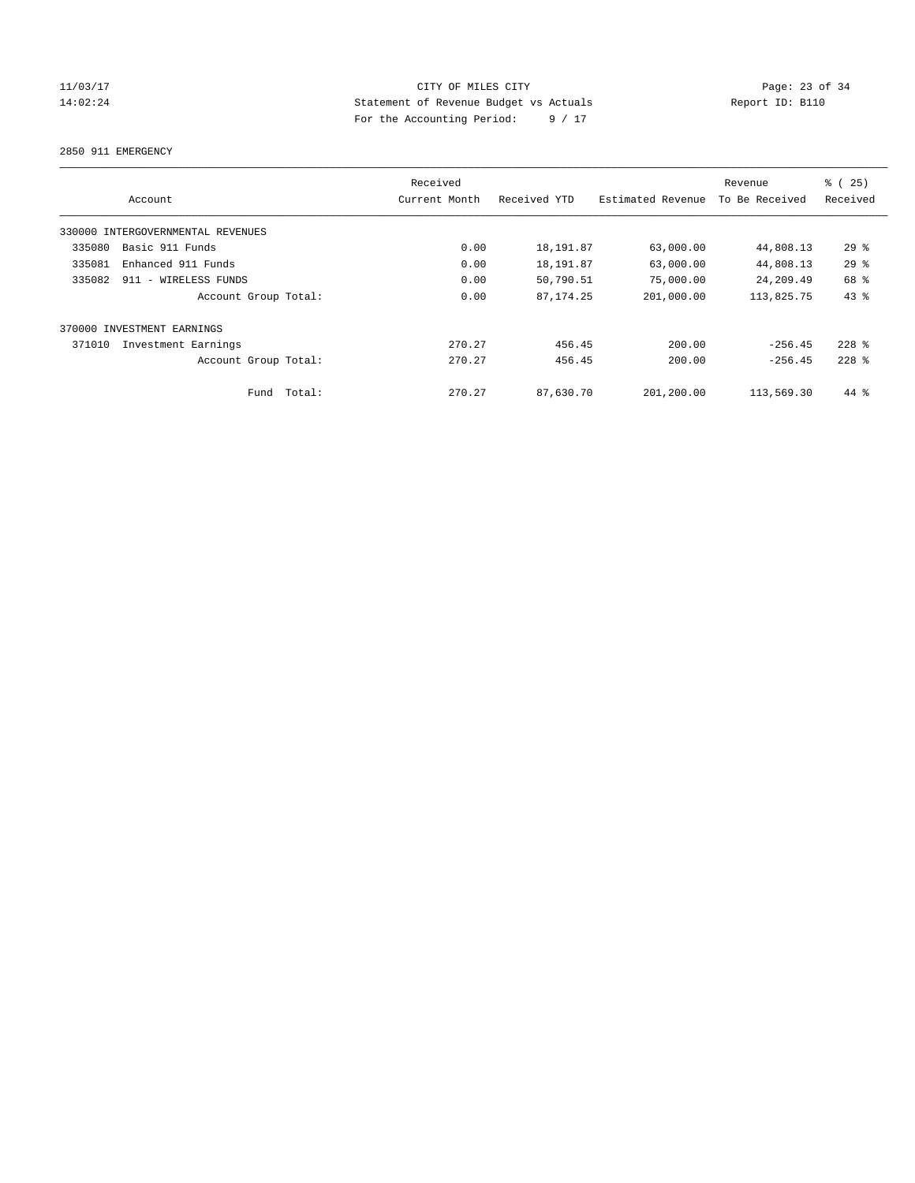## 11/03/17 CITY OF MILES CITY Page: 23 of 34 14:02:24 Statement of Revenue Budget vs Actuals Report ID: B110 For the Accounting Period: 9 / 17

2850 911 EMERGENCY

|        |                                   | Received      |              |                   | Revenue        | % (25)    |
|--------|-----------------------------------|---------------|--------------|-------------------|----------------|-----------|
|        | Account                           | Current Month | Received YTD | Estimated Revenue | To Be Received | Received  |
|        | 330000 INTERGOVERNMENTAL REVENUES |               |              |                   |                |           |
| 335080 | Basic 911 Funds                   | 0.00          | 18,191.87    | 63,000.00         | 44,808.13      | 29%       |
| 335081 | Enhanced 911 Funds                | 0.00          | 18,191.87    | 63,000.00         | 44,808.13      | 29%       |
| 335082 | 911 - WIRELESS FUNDS              | 0.00          | 50,790.51    | 75,000.00         | 24,209.49      | 68 %      |
|        | Account Group Total:              | 0.00          | 87, 174. 25  | 201,000.00        | 113,825.75     | 43%       |
|        | 370000 INVESTMENT EARNINGS        |               |              |                   |                |           |
| 371010 | Investment Earnings               | 270.27        | 456.45       | 200.00            | $-256.45$      | $228$ $%$ |
|        | Account Group Total:              | 270.27        | 456.45       | 200.00            | $-256.45$      | $228$ $%$ |
|        | Total:<br>Fund                    | 270.27        | 87,630.70    | 201,200.00        | 113,569.30     | 44 %      |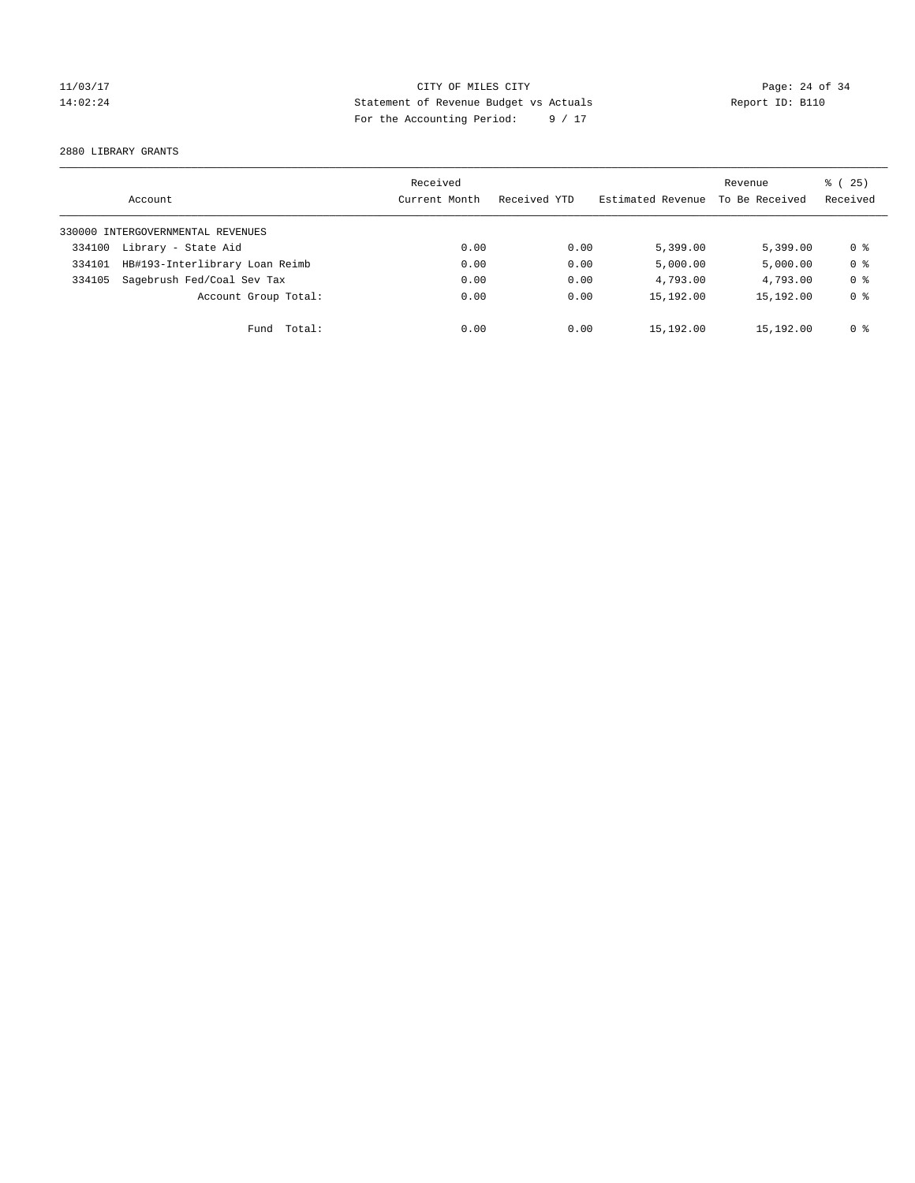## 11/03/17 CITY OF MILES CITY Page: 24 of 34 14:02:24 Statement of Revenue Budget vs Actuals Report ID: B110 For the Accounting Period: 9 / 17

2880 LIBRARY GRANTS

|        | Account                           | Received<br>Current Month | Received YTD | Estimated Revenue | Revenue<br>To Be Received | % (25)<br>Received |
|--------|-----------------------------------|---------------------------|--------------|-------------------|---------------------------|--------------------|
|        | 330000 INTERGOVERNMENTAL REVENUES |                           |              |                   |                           |                    |
| 334100 | Library - State Aid               | 0.00                      | 0.00         | 5,399.00          | 5.399.00                  | 0 %                |
| 334101 | HB#193-Interlibrary Loan Reimb    | 0.00                      | 0.00         | 5,000.00          | 5,000.00                  | 0 <sup>8</sup>     |
| 334105 | Sagebrush Fed/Coal Sev Tax        | 0.00                      | 0.00         | 4,793.00          | 4,793.00                  | 0 <sup>8</sup>     |
|        | Account Group Total:              | 0.00                      | 0.00         | 15,192.00         | 15,192.00                 | 0 <sup>8</sup>     |
|        | Fund Total:                       | 0.00                      | 0.00         | 15,192.00         | 15,192.00                 | 0 %                |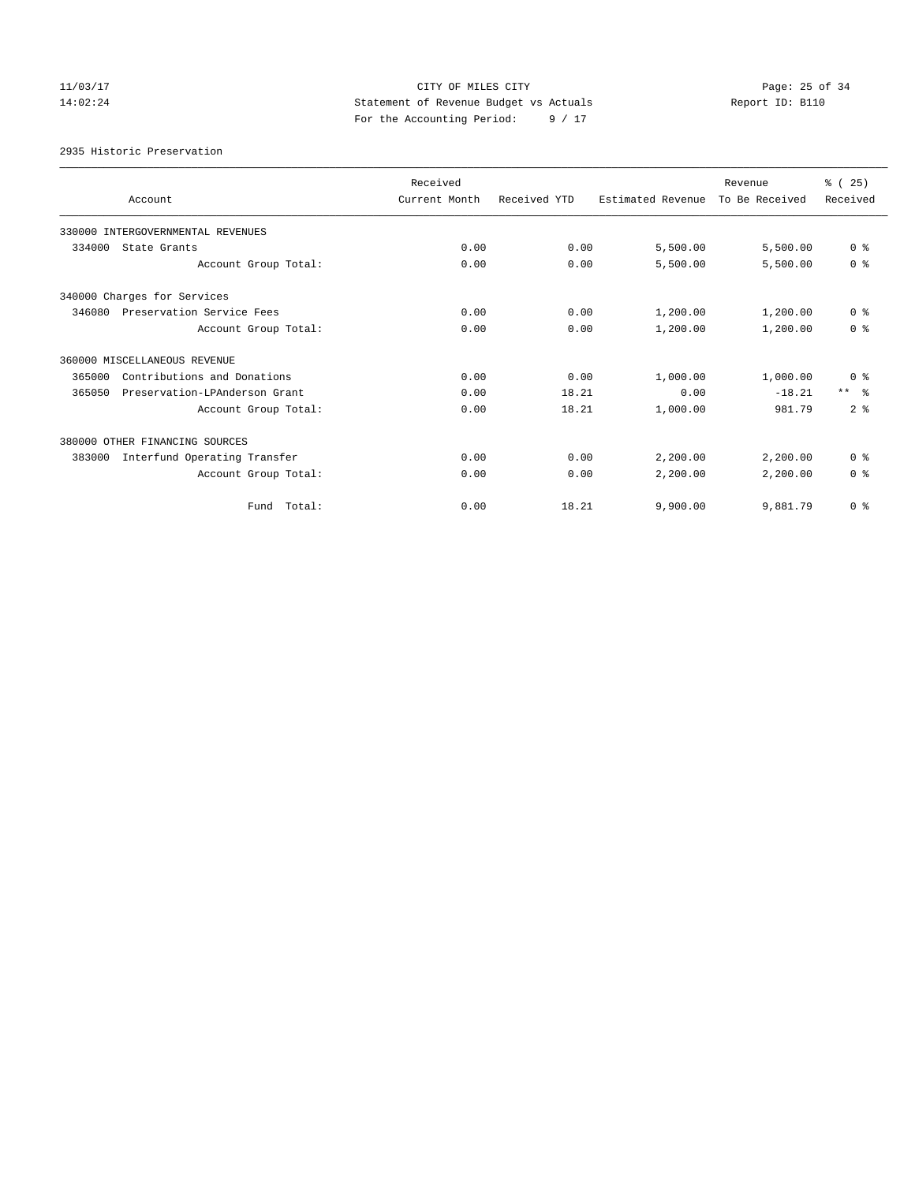## 11/03/17 CITY OF MILES CITY Page: 25 of 34 14:02:24 Statement of Revenue Budget vs Actuals Report ID: B110 For the Accounting Period: 9 / 17

2935 Historic Preservation

|        | Account                           | Received<br>Current Month | Received YTD | Estimated Revenue | Revenue<br>To Be Received | % (25)<br>Received |
|--------|-----------------------------------|---------------------------|--------------|-------------------|---------------------------|--------------------|
|        |                                   |                           |              |                   |                           |                    |
|        | 330000 INTERGOVERNMENTAL REVENUES |                           |              |                   |                           |                    |
| 334000 | State Grants                      | 0.00                      | 0.00         | 5,500.00          | 5,500.00                  | 0 <sup>8</sup>     |
|        | Account Group Total:              | 0.00                      | 0.00         | 5,500.00          | 5,500.00                  | 0 <sup>8</sup>     |
|        | 340000 Charges for Services       |                           |              |                   |                           |                    |
| 346080 | Preservation Service Fees         | 0.00                      | 0.00         | 1,200.00          | 1,200.00                  | 0 <sup>8</sup>     |
|        | Account Group Total:              | 0.00                      | 0.00         | 1,200.00          | 1,200.00                  | 0 <sup>8</sup>     |
|        | 360000 MISCELLANEOUS REVENUE      |                           |              |                   |                           |                    |
| 365000 | Contributions and Donations       | 0.00                      | 0.00         | 1,000.00          | 1,000.00                  | 0 <sup>8</sup>     |
| 365050 | Preservation-LPAnderson Grant     | 0.00                      | 18.21        | 0.00              | $-18.21$                  | $***$ $\approx$    |
|        | Account Group Total:              | 0.00                      | 18.21        | 1,000.00          | 981.79                    | 2 <sup>8</sup>     |
|        | 380000 OTHER FINANCING SOURCES    |                           |              |                   |                           |                    |
| 383000 | Interfund Operating Transfer      | 0.00                      | 0.00         | 2,200.00          | 2,200.00                  | 0 <sup>8</sup>     |
|        | Account Group Total:              | 0.00                      | 0.00         | 2,200.00          | 2,200.00                  | 0 <sup>8</sup>     |
|        | Fund Total:                       | 0.00                      | 18.21        | 9,900.00          | 9,881.79                  | 0 <sup>8</sup>     |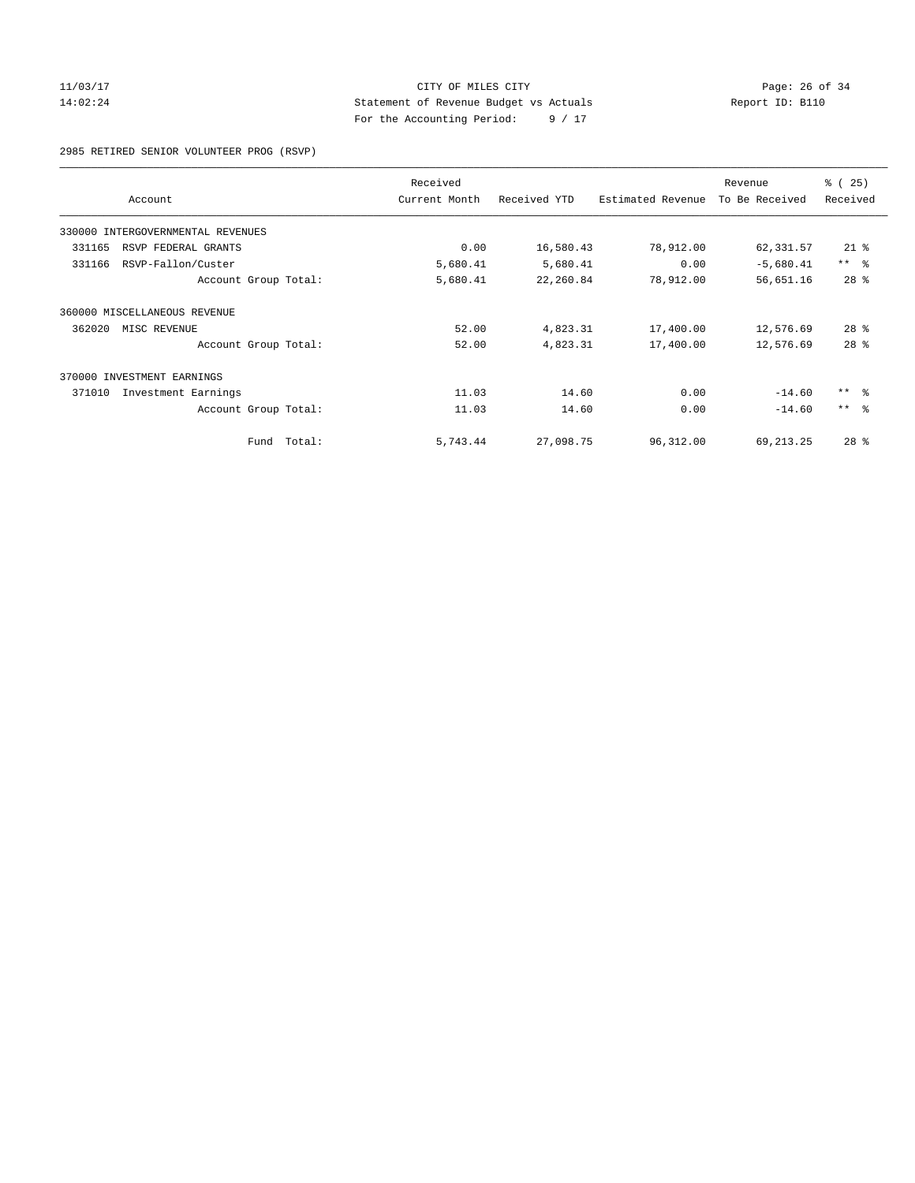## 11/03/17 CITY OF MILES CITY Page: 26 of 34 14:02:24 Statement of Revenue Budget vs Actuals Report ID: B110 For the Accounting Period: 9 / 17

2985 RETIRED SENIOR VOLUNTEER PROG (RSVP)

| Account                           |        | Received<br>Current Month | Received YTD | Estimated Revenue | Revenue<br>To Be Received | % (25)<br>Received |
|-----------------------------------|--------|---------------------------|--------------|-------------------|---------------------------|--------------------|
| 330000 INTERGOVERNMENTAL REVENUES |        |                           |              |                   |                           |                    |
| 331165<br>RSVP FEDERAL GRANTS     |        | 0.00                      | 16,580.43    | 78,912.00         | 62,331.57                 | $21$ %             |
| RSVP-Fallon/Custer<br>331166      |        | 5,680.41                  | 5,680.41     | 0.00              | $-5,680.41$               | $***$ $ -$         |
| Account Group Total:              |        | 5,680.41                  | 22,260.84    | 78,912.00         | 56,651.16                 | 28 <sup>8</sup>    |
| 360000 MISCELLANEOUS REVENUE      |        |                           |              |                   |                           |                    |
| 362020<br>MISC REVENUE            |        | 52.00                     | 4,823.31     | 17,400.00         | 12,576.69                 | $28$ %             |
| Account Group Total:              |        | 52.00                     | 4,823.31     | 17,400.00         | 12,576.69                 | 28 <sup>8</sup>    |
| 370000 INVESTMENT EARNINGS        |        |                           |              |                   |                           |                    |
| 371010<br>Investment Earnings     |        | 11.03                     | 14.60        | 0.00              | $-14.60$                  | $***$ $ -$         |
| Account Group Total:              |        | 11.03                     | 14.60        | 0.00              | $-14.60$                  | $***$ $ -$         |
| Fund                              | Total: | 5,743.44                  | 27,098.75    | 96,312.00         | 69, 213. 25               | $28$ %             |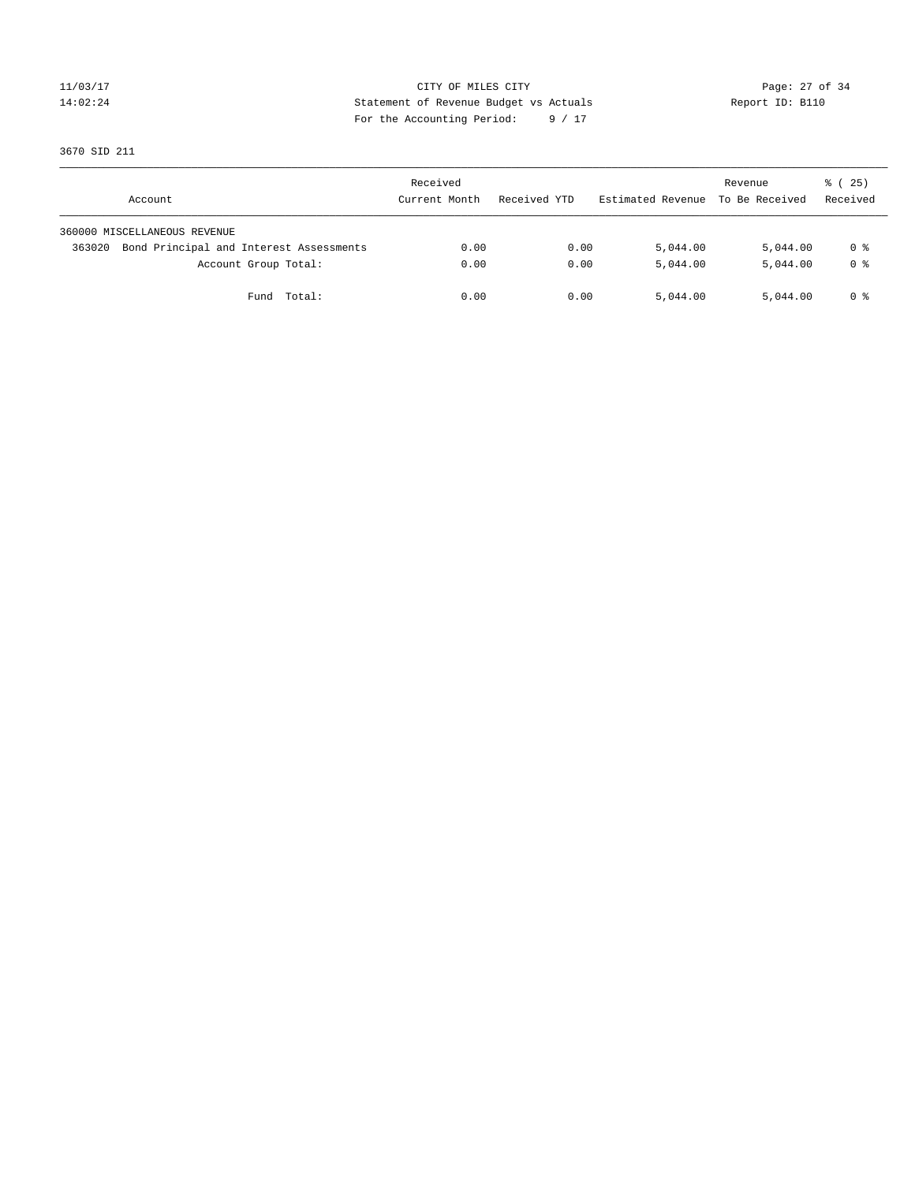## 11/03/17 Page: 27 of 34 14:02:24 Statement of Revenue Budget vs Actuals Report ID: B110 For the Accounting Period: 9 / 17

3670 SID 211

| Account                                           | Received<br>Current Month | Received YTD | Estimated Revenue | Revenue<br>To Be Received | 8 (25)<br>Received |
|---------------------------------------------------|---------------------------|--------------|-------------------|---------------------------|--------------------|
| 360000 MISCELLANEOUS REVENUE                      |                           |              |                   |                           |                    |
| Bond Principal and Interest Assessments<br>363020 | 0.00                      | 0.00         | 5,044.00          | 5,044.00                  | 0 %                |
| Account Group Total:                              | 0.00                      | 0.00         | 5,044.00          | 5,044.00                  | 0 <sup>8</sup>     |
| Total:<br>Fund                                    | 0.00                      | 0.00         | 5,044.00          | 5,044.00                  | 0 %                |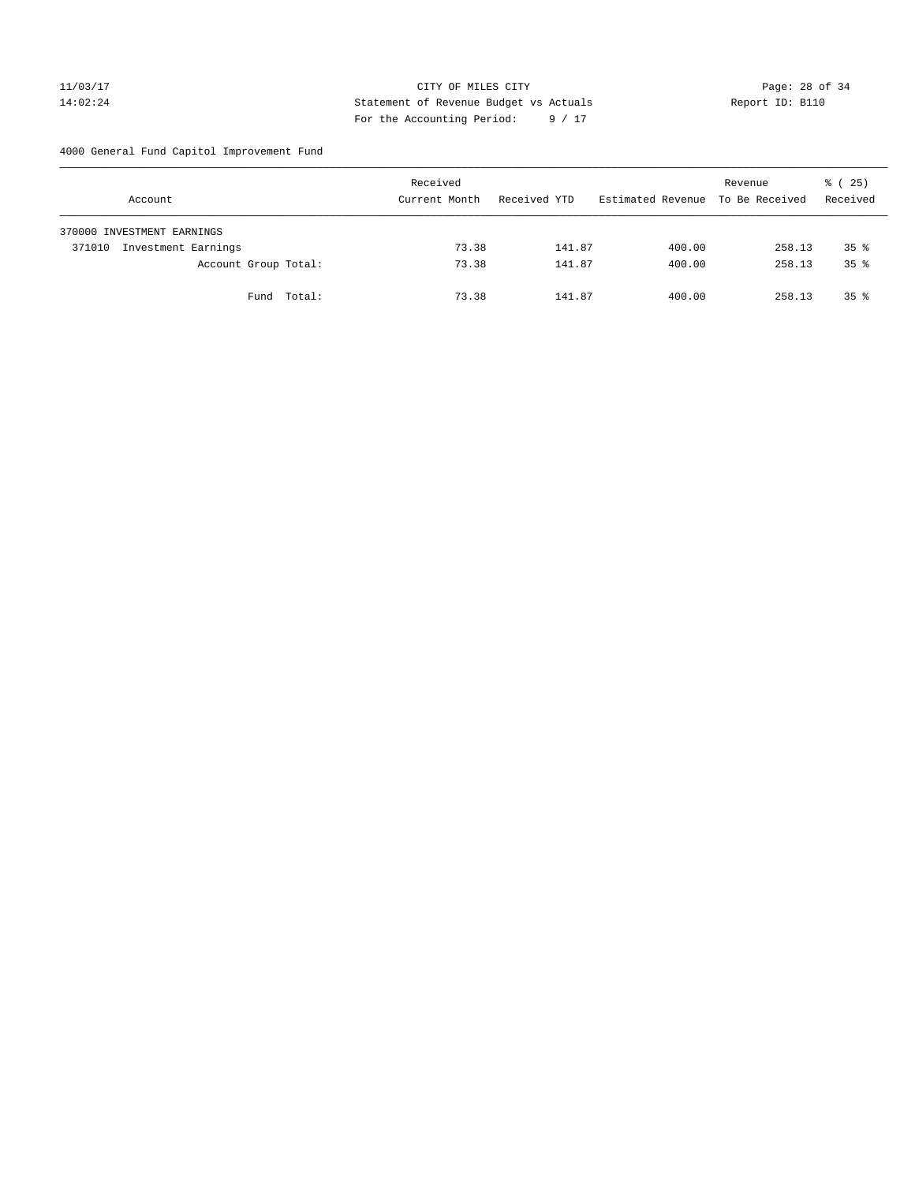11/03/17 CITY OF MILES CITY Page: 28 of 34 14:02:24 Statement of Revenue Budget vs Actuals Report ID: B110 For the Accounting Period: 9 / 17

4000 General Fund Capitol Improvement Fund

|        | Account                    |             | Received<br>Current Month |       | Received YTD |        | Estimated Revenue |        | Revenue<br>To Be Received |        | 8 (25)<br>Received |  |
|--------|----------------------------|-------------|---------------------------|-------|--------------|--------|-------------------|--------|---------------------------|--------|--------------------|--|
|        | 370000 INVESTMENT EARNINGS |             |                           |       |              |        |                   |        |                           |        |                    |  |
| 371010 | Investment Earnings        |             |                           | 73.38 |              | 141.87 |                   | 400.00 |                           | 258.13 | $35*$              |  |
|        | Account Group Total:       |             |                           | 73.38 |              | 141.87 |                   | 400.00 |                           | 258.13 | 35 <sup>8</sup>    |  |
|        |                            | Fund Total: |                           | 73.38 |              | 141.87 |                   | 400.00 |                           | 258.13 | $35*$              |  |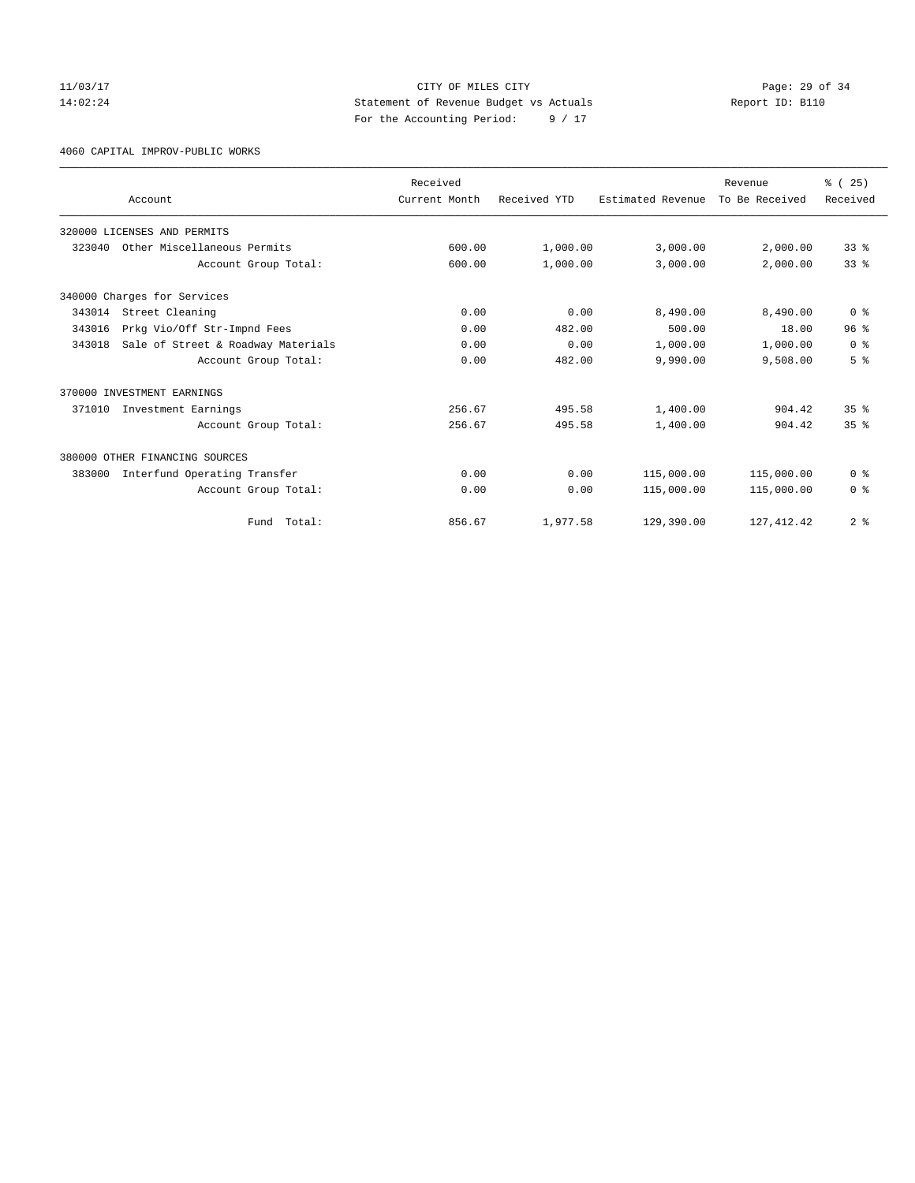## 11/03/17 Page: 29 of 34 14:02:24 Statement of Revenue Budget vs Actuals Report ID: B110 For the Accounting Period: 9 / 17

4060 CAPITAL IMPROV-PUBLIC WORKS

|        |                                    | Received      |              |                   | Revenue        | % (25)          |
|--------|------------------------------------|---------------|--------------|-------------------|----------------|-----------------|
|        | Account                            | Current Month | Received YTD | Estimated Revenue | To Be Received | Received        |
|        | 320000 LICENSES AND PERMITS        |               |              |                   |                |                 |
|        | 323040 Other Miscellaneous Permits | 600.00        | 1,000.00     | 3,000.00          | 2,000.00       | 338             |
|        | Account Group Total:               | 600.00        | 1,000.00     | 3,000.00          | 2,000.00       | 33 <sup>8</sup> |
|        | 340000 Charges for Services        |               |              |                   |                |                 |
| 343014 | Street Cleaning                    | 0.00          | 0.00         | 8,490.00          | 8,490.00       | 0 <sup>8</sup>  |
| 343016 | Prkg Vio/Off Str-Impnd Fees        | 0.00          | 482.00       | 500.00            | 18.00          | 96 <sup>8</sup> |
| 343018 | Sale of Street & Roadway Materials | 0.00          | 0.00         | 1,000.00          | 1,000.00       | 0 <sup>8</sup>  |
|        | Account Group Total:               | 0.00          | 482.00       | 9,990.00          | 9,508.00       | 5 <sup>8</sup>  |
|        | 370000 INVESTMENT EARNINGS         |               |              |                   |                |                 |
| 371010 | Investment Earnings                | 256.67        | 495.58       | 1,400.00          | 904.42         | 35 <sup>8</sup> |
|        | Account Group Total:               | 256.67        | 495.58       | 1,400.00          | 904.42         | 35 <sup>8</sup> |
|        | 380000 OTHER FINANCING SOURCES     |               |              |                   |                |                 |
| 383000 | Interfund Operating Transfer       | 0.00          | 0.00         | 115,000.00        | 115,000.00     | 0 <sup>8</sup>  |
|        | Account Group Total:               | 0.00          | 0.00         | 115,000.00        | 115,000.00     | 0 <sup>8</sup>  |
|        | Total:<br>Fund                     | 856.67        | 1,977.58     | 129,390.00        | 127, 412.42    | 2 <sup>8</sup>  |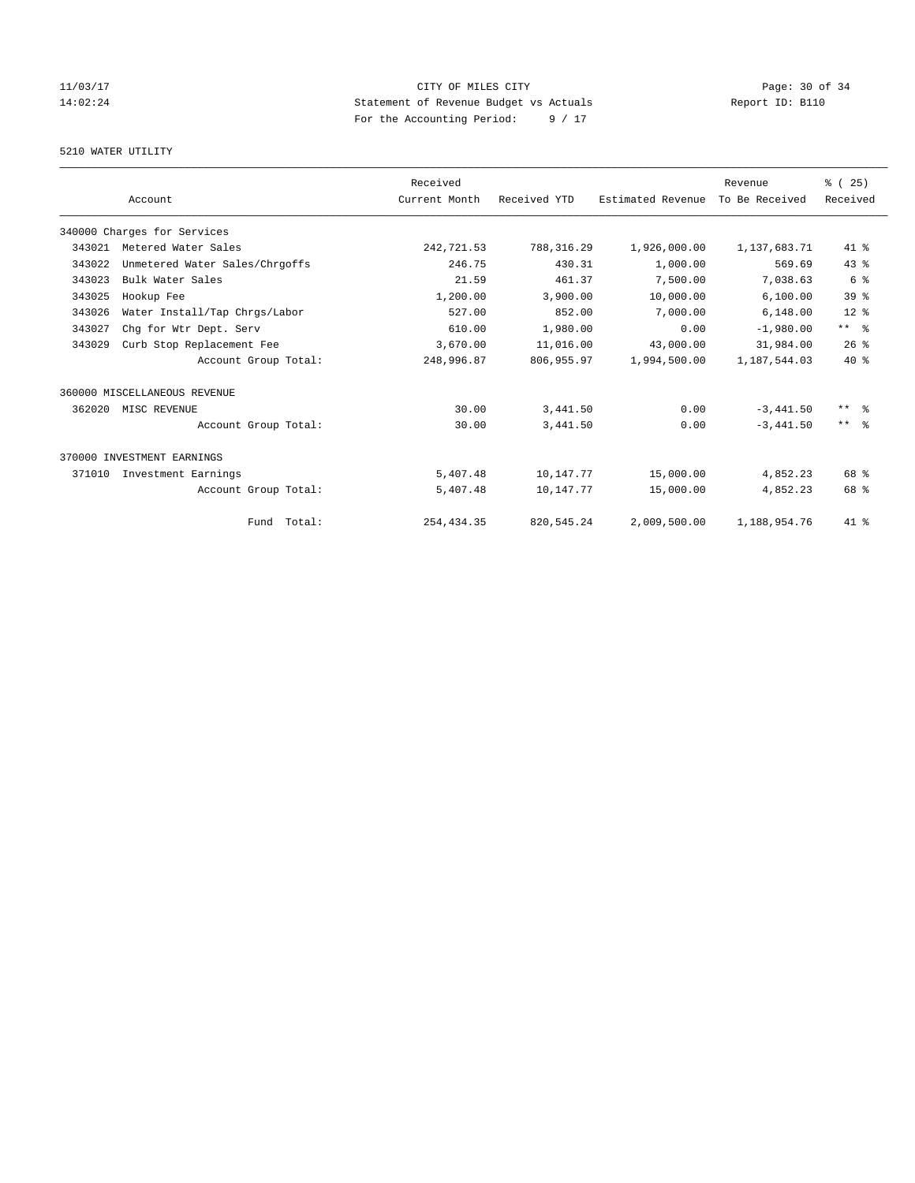# 11/03/17 Page: 30 of 34 14:02:24 Statement of Revenue Budget vs Actuals Report ID: B110 For the Accounting Period: 9 / 17

## 5210 WATER UTILITY

|        |                                | Received      |              |                   | Revenue        | % (25)          |
|--------|--------------------------------|---------------|--------------|-------------------|----------------|-----------------|
|        | Account                        | Current Month | Received YTD | Estimated Revenue | To Be Received | Received        |
|        | 340000 Charges for Services    |               |              |                   |                |                 |
| 343021 | Metered Water Sales            | 242,721.53    | 788, 316.29  | 1,926,000.00      | 1,137,683.71   | 41 %            |
| 343022 | Unmetered Water Sales/Chrgoffs | 246.75        | 430.31       | 1,000.00          | 569.69         | $43*$           |
| 343023 | Bulk Water Sales               | 21.59         | 461.37       | 7,500.00          | 7,038.63       | 6 %             |
| 343025 | Hookup Fee                     | 1,200.00      | 3,900.00     | 10,000.00         | 6, 100.00      | 39 <sup>8</sup> |
| 343026 | Water Install/Tap Chrgs/Labor  | 527.00        | 852.00       | 7,000.00          | 6,148.00       | $12*$           |
| 343027 | Chq for Wtr Dept. Serv         | 610.00        | 1,980.00     | 0.00              | $-1,980.00$    | $***$ $ -$      |
| 343029 | Curb Stop Replacement Fee      | 3,670.00      | 11,016.00    | 43,000.00         | 31,984.00      | 26%             |
|        | Account Group Total:           | 248,996.87    | 806,955.97   | 1,994,500.00      | 1,187,544.03   | $40*$           |
|        | 360000 MISCELLANEOUS REVENUE   |               |              |                   |                |                 |
| 362020 | MISC REVENUE                   | 30.00         | 3,441.50     | 0.00              | $-3,441.50$    | $***$ $\approx$ |
|        | Account Group Total:           | 30.00         | 3,441.50     | 0.00              | $-3.441.50$    | $***$ $\approx$ |
|        | 370000 INVESTMENT EARNINGS     |               |              |                   |                |                 |
| 371010 | Investment Earnings            | 5,407.48      | 10,147.77    | 15,000.00         | 4,852.23       | 68 %            |
|        | Account Group Total:           | 5,407.48      | 10,147.77    | 15,000.00         | 4,852.23       | 68 %            |
|        | Fund Total:                    | 254, 434.35   | 820, 545.24  | 2,009,500.00      | 1,188,954.76   | 41 %            |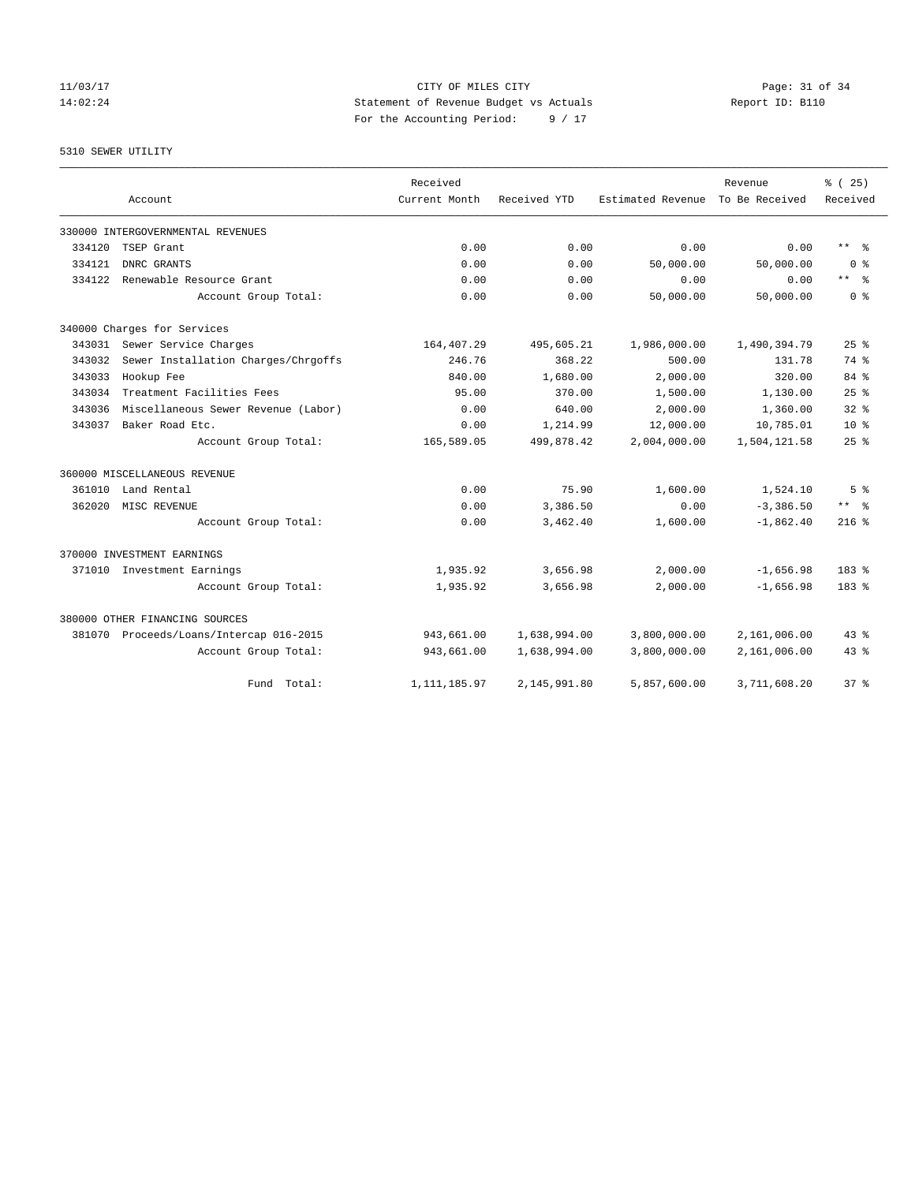11/03/17 Page: 31 of 34 14:02:24 Statement of Revenue Budget vs Actuals Report ID: B110 For the Accounting Period: 9 / 17

5310 SEWER UTILITY

|        |                                         | Received       |              |                   | Revenue        | % (25)                  |
|--------|-----------------------------------------|----------------|--------------|-------------------|----------------|-------------------------|
|        | Account                                 | Current Month  | Received YTD | Estimated Revenue | To Be Received | Received                |
|        | 330000 INTERGOVERNMENTAL REVENUES       |                |              |                   |                |                         |
| 334120 | TSEP Grant                              | 0.00           | 0.00         | 0.00              | 0.00           | $***$ $=$               |
| 334121 | DNRC GRANTS                             | 0.00           | 0.00         | 50,000.00         | 50,000.00      | 0 <sup>8</sup>          |
| 334122 | Renewable Resource Grant                | 0.00           | 0.00         | 0.00              | 0.00           | $***$ $=$               |
|        | Account Group Total:                    | 0.00           | 0.00         | 50,000.00         | 50,000.00      | 0 <sup>8</sup>          |
|        | 340000 Charges for Services             |                |              |                   |                |                         |
|        | 343031 Sewer Service Charges            | 164,407.29     | 495,605.21   | 1,986,000.00      | 1,490,394.79   | $25$ $%$                |
| 343032 | Sewer Installation Charges/Chrgoffs     | 246.76         | 368.22       | 500.00            | 131.78         | 74 %                    |
| 343033 | Hookup Fee                              | 840.00         | 1,680.00     | 2,000.00          | 320.00         | 84 %                    |
| 343034 | Treatment Facilities Fees               | 95.00          | 370.00       | 1,500.00          | 1,130.00       | 25%                     |
| 343036 | Miscellaneous Sewer Revenue (Labor)     | 0.00           | 640.00       | 2,000.00          | 1,360.00       | $32*$                   |
| 343037 | Baker Road Etc.                         | 0.00           | 1,214.99     | 12,000.00         | 10,785.01      | $10*$                   |
|        | Account Group Total:                    | 165,589.05     | 499,878.42   | 2,004,000.00      | 1,504,121.58   | 25%                     |
|        | 360000 MISCELLANEOUS REVENUE            |                |              |                   |                |                         |
| 361010 | Land Rental                             | 0.00           | 75.90        | 1,600.00          | 1,524.10       | 5 <sup>°</sup>          |
| 362020 | MISC REVENUE                            | 0.00           | 3,386.50     | 0.00              | $-3,386.50$    | $***$ $=$ $\frac{6}{5}$ |
|        | Account Group Total:                    | 0.00           | 3,462.40     | 1,600.00          | $-1,862.40$    | $216$ %                 |
|        | 370000 INVESTMENT EARNINGS              |                |              |                   |                |                         |
|        | 371010 Investment Earnings              | 1,935.92       | 3,656.98     | 2,000.00          | $-1,656.98$    | $183$ $%$               |
|        | Account Group Total:                    | 1,935.92       | 3,656.98     | 2,000.00          | $-1,656.98$    | $183$ $%$               |
|        | 380000 OTHER FINANCING SOURCES          |                |              |                   |                |                         |
|        | 381070 Proceeds/Loans/Intercap 016-2015 | 943,661.00     | 1,638,994.00 | 3,800,000.00      | 2,161,006.00   | $43*$                   |
|        | Account Group Total:                    | 943,661.00     | 1,638,994.00 | 3,800,000.00      | 2,161,006.00   | $43*$                   |
|        | Fund Total:                             | 1, 111, 185.97 | 2,145,991.80 | 5,857,600.00      | 3,711,608.20   | 37 <sup>8</sup>         |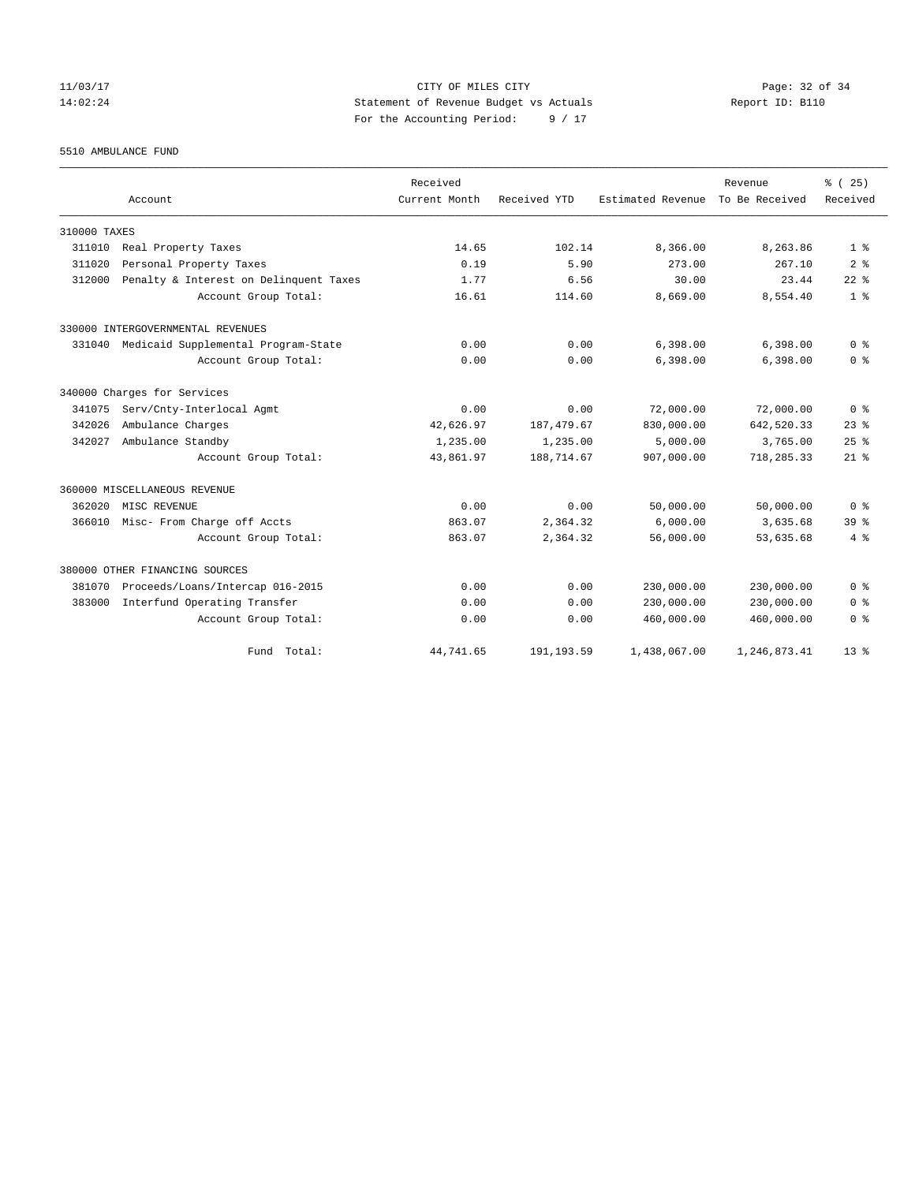## 11/03/17 CITY OF MILES CITY Page: 32 of 34 14:02:24 Statement of Revenue Budget vs Actuals Report ID: B110 For the Accounting Period: 9 / 17

5510 AMBULANCE FUND

|              |                                        | Received      |              |                                  | Revenue      | % (25)          |
|--------------|----------------------------------------|---------------|--------------|----------------------------------|--------------|-----------------|
|              | Account                                | Current Month | Received YTD | Estimated Revenue To Be Received |              | Received        |
| 310000 TAXES |                                        |               |              |                                  |              |                 |
| 311010       | Real Property Taxes                    | 14.65         | 102.14       | 8,366.00                         | 8,263.86     | 1 <sup>8</sup>  |
| 311020       | Personal Property Taxes                | 0.19          | 5.90         | 273.00                           | 267.10       | 2 <sup>8</sup>  |
| 312000       | Penalty & Interest on Delinquent Taxes | 1.77          | 6.56         | 30.00                            | 23.44        | $22$ $%$        |
|              | Account Group Total:                   | 16.61         | 114.60       | 8,669.00                         | 8,554.40     | 1 <sup>8</sup>  |
|              | 330000 INTERGOVERNMENTAL REVENUES      |               |              |                                  |              |                 |
| 331040       | Medicaid Supplemental Program-State    | 0.00          | 0.00         | 6,398.00                         | 6,398.00     | 0 <sup>8</sup>  |
|              | Account Group Total:                   | 0.00          | 0.00         | 6,398.00                         | 6,398.00     | 0 <sup>8</sup>  |
|              | 340000 Charges for Services            |               |              |                                  |              |                 |
| 341075       | Serv/Cnty-Interlocal Agmt              | 0.00          | 0.00         | 72,000.00                        | 72,000.00    | 0 <sup>8</sup>  |
| 342026       | Ambulance Charges                      | 42,626.97     | 187, 479.67  | 830,000.00                       | 642,520.33   | 23 <sup>8</sup> |
| 342027       | Ambulance Standby                      | 1,235.00      | 1,235.00     | 5,000.00                         | 3,765.00     | 25%             |
|              | Account Group Total:                   | 43,861.97     | 188,714.67   | 907,000.00                       | 718,285.33   | $21$ $%$        |
|              | 360000 MISCELLANEOUS REVENUE           |               |              |                                  |              |                 |
| 362020       | MISC REVENUE                           | 0.00          | 0.00         | 50,000.00                        | 50,000.00    | 0 <sup>8</sup>  |
| 366010       | Misc- From Charge off Accts            | 863.07        | 2,364.32     | 6.000.00                         | 3,635.68     | 39 <sup>8</sup> |
|              | Account Group Total:                   | 863.07        | 2,364.32     | 56,000.00                        | 53,635.68    | 4%              |
|              | 380000 OTHER FINANCING SOURCES         |               |              |                                  |              |                 |
| 381070       | Proceeds/Loans/Intercap 016-2015       | 0.00          | 0.00         | 230,000.00                       | 230,000.00   | 0 <sup>8</sup>  |
| 383000       | Interfund Operating Transfer           | 0.00          | 0.00         | 230,000.00                       | 230,000.00   | 0 <sup>8</sup>  |
|              | Account Group Total:                   | 0.00          | 0.00         | 460,000.00                       | 460,000.00   | 0 <sup>8</sup>  |
|              | Fund Total:                            | 44,741.65     | 191, 193.59  | 1,438,067.00                     | 1,246,873.41 | $13*$           |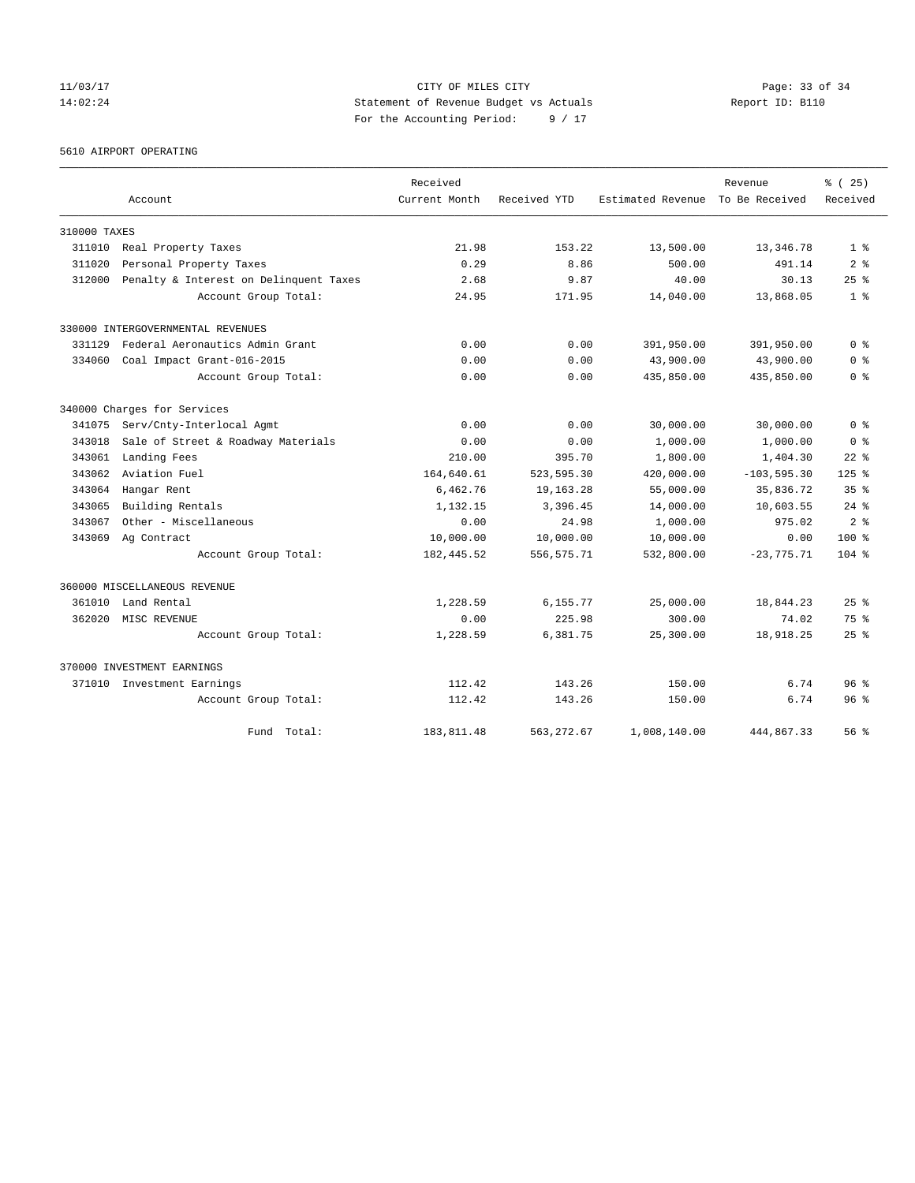11/03/17 CITY OF MILES CITY Page: 33 of 34 14:02:24 Statement of Revenue Budget vs Actuals Report ID: B110 For the Accounting Period: 9 / 17

5610 AIRPORT OPERATING

|              |                                        | Received      |              |                   | Revenue        | % (25)          |
|--------------|----------------------------------------|---------------|--------------|-------------------|----------------|-----------------|
|              | Account                                | Current Month | Received YTD | Estimated Revenue | To Be Received | Received        |
| 310000 TAXES |                                        |               |              |                   |                |                 |
| 311010       | Real Property Taxes                    | 21.98         | 153.22       | 13,500.00         | 13,346.78      | 1 <sup>8</sup>  |
| 311020       | Personal Property Taxes                | 0.29          | 8.86         | 500.00            | 491.14         | 2 <sub>8</sub>  |
| 312000       | Penalty & Interest on Delinquent Taxes | 2.68          | 9.87         | 40.00             | 30.13          | $25$ $%$        |
|              | Account Group Total:                   | 24.95         | 171.95       | 14,040.00         | 13,868.05      | 1 <sup>8</sup>  |
|              | 330000 INTERGOVERNMENTAL REVENUES      |               |              |                   |                |                 |
| 331129       | Federal Aeronautics Admin Grant        | 0.00          | 0.00         | 391,950.00        | 391,950.00     | 0 <sup>8</sup>  |
| 334060       | Coal Impact Grant-016-2015             | 0.00          | 0.00         | 43,900.00         | 43,900.00      | 0 <sup>8</sup>  |
|              | Account Group Total:                   | 0.00          | 0.00         | 435,850.00        | 435,850.00     | 0 <sup>8</sup>  |
|              | 340000 Charges for Services            |               |              |                   |                |                 |
| 341075       | Serv/Cnty-Interlocal Agmt              | 0.00          | 0.00         | 30,000.00         | 30,000.00      | 0 <sup>8</sup>  |
| 343018       | Sale of Street & Roadway Materials     | 0.00          | 0.00         | 1,000.00          | 1,000.00       | 0 <sup>8</sup>  |
| 343061       | Landing Fees                           | 210.00        | 395.70       | 1,800.00          | 1,404.30       | $22$ $%$        |
| 343062       | Aviation Fuel                          | 164,640.61    | 523, 595.30  | 420,000.00        | $-103, 595.30$ | $125$ %         |
| 343064       | Hangar Rent                            | 6,462.76      | 19,163.28    | 55,000.00         | 35,836.72      | 35 <sup>8</sup> |
| 343065       | Building Rentals                       | 1,132.15      | 3,396.45     | 14,000.00         | 10,603.55      | $24$ $%$        |
| 343067       | Other - Miscellaneous                  | 0.00          | 24.98        | 1,000.00          | 975.02         | 2 <sup>8</sup>  |
| 343069       | Ag Contract                            | 10,000.00     | 10,000.00    | 10,000.00         | 0.00           | $100*$          |
|              | Account Group Total:                   | 182, 445.52   | 556, 575.71  | 532,800.00        | $-23,775.71$   | $104$ %         |
|              | 360000 MISCELLANEOUS REVENUE           |               |              |                   |                |                 |
| 361010       | Land Rental                            | 1,228.59      | 6,155.77     | 25,000.00         | 18,844.23      | 25%             |
| 362020       | MISC REVENUE                           | 0.00          | 225.98       | 300.00            | 74.02          | 75%             |
|              | Account Group Total:                   | 1,228.59      | 6,381.75     | 25,300.00         | 18,918.25      | $25$ $%$        |
|              | 370000 INVESTMENT EARNINGS             |               |              |                   |                |                 |
|              | 371010 Investment Earnings             | 112.42        | 143.26       | 150.00            | 6.74           | 96 <sup>8</sup> |
|              | Account Group Total:                   | 112.42        | 143.26       | 150.00            | 6.74           | 96 <sup>8</sup> |
|              | Total:<br>Fund                         | 183,811.48    | 563, 272.67  | 1,008,140.00      | 444,867.33     | 56 <sup>8</sup> |